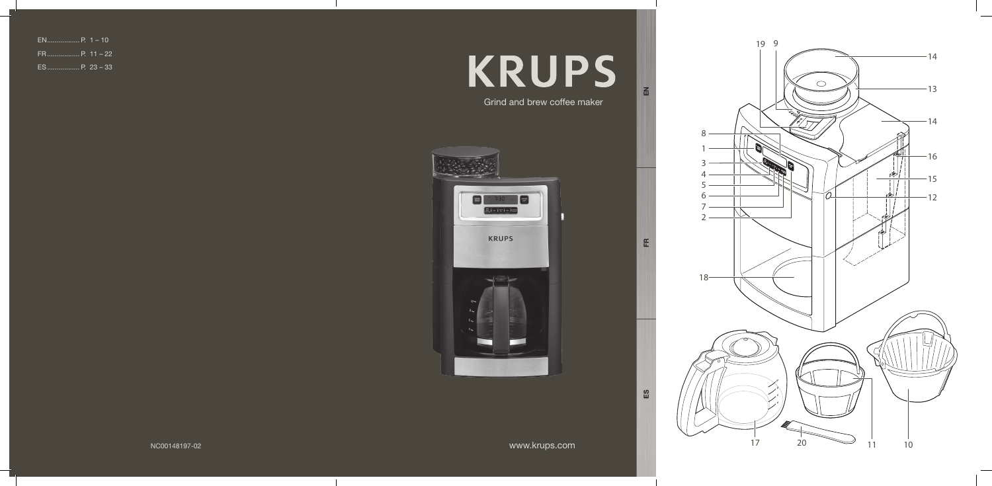# **KRUPS** Grind and brew coffee maker

www.krups.com

EN



FR

ES

NC00148197-02

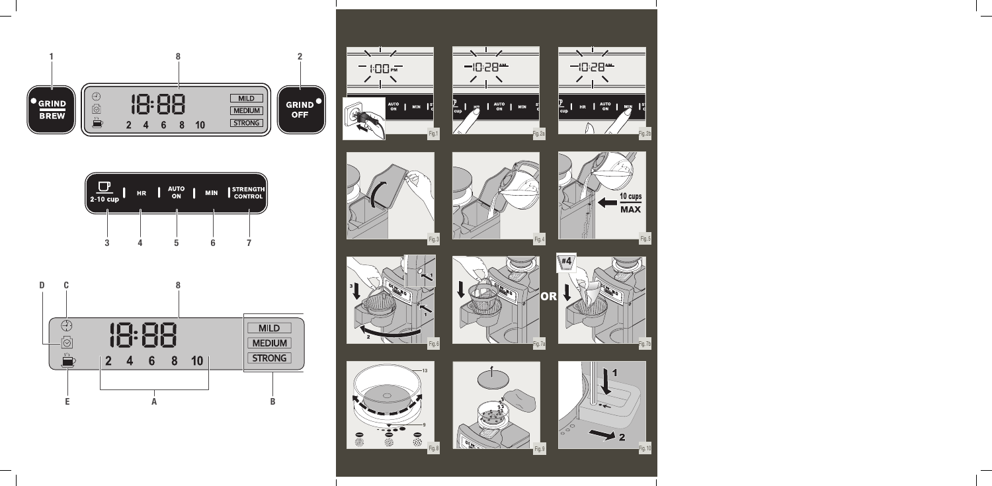



























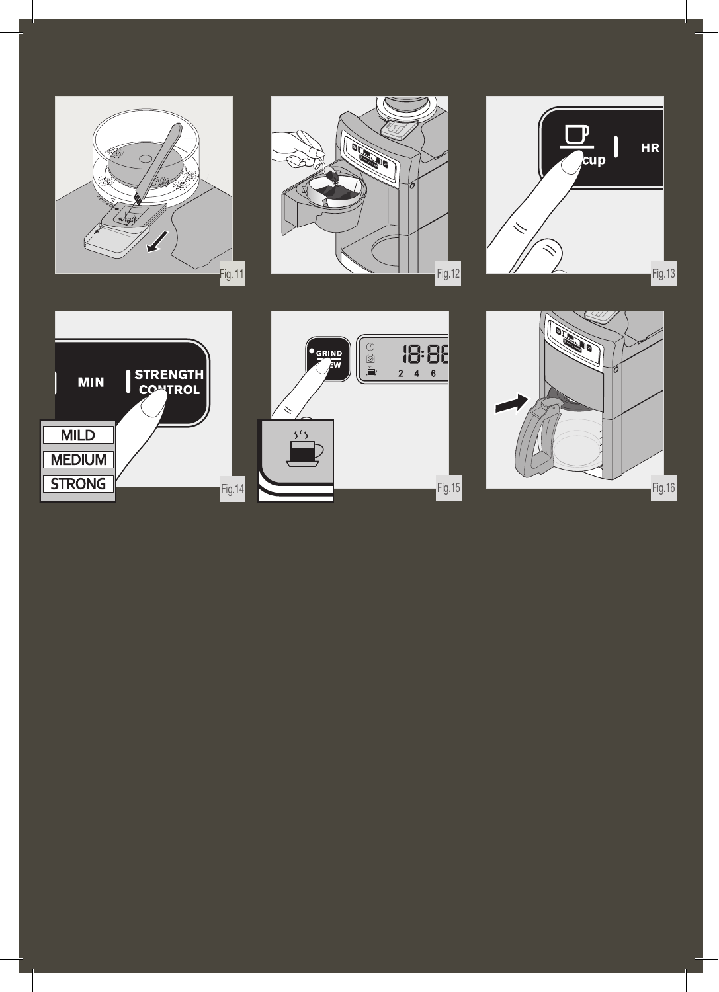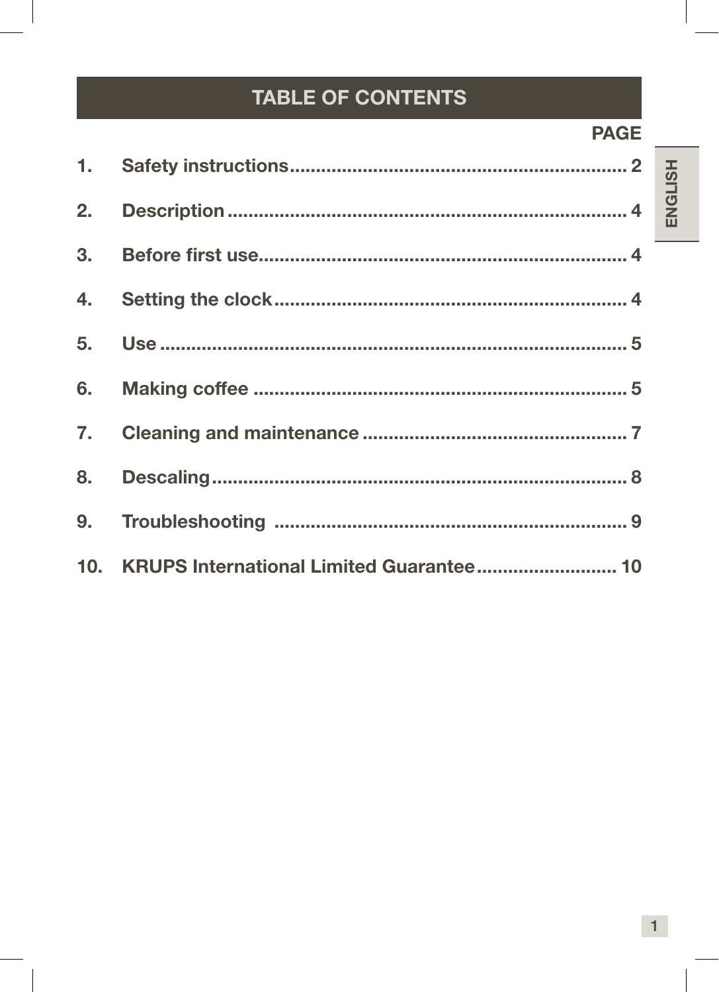# TABLE OF CONTENTS

### **PAGE**

| 10. KRUPS International Limited Guarantee 10 |
|----------------------------------------------|

ENGLISH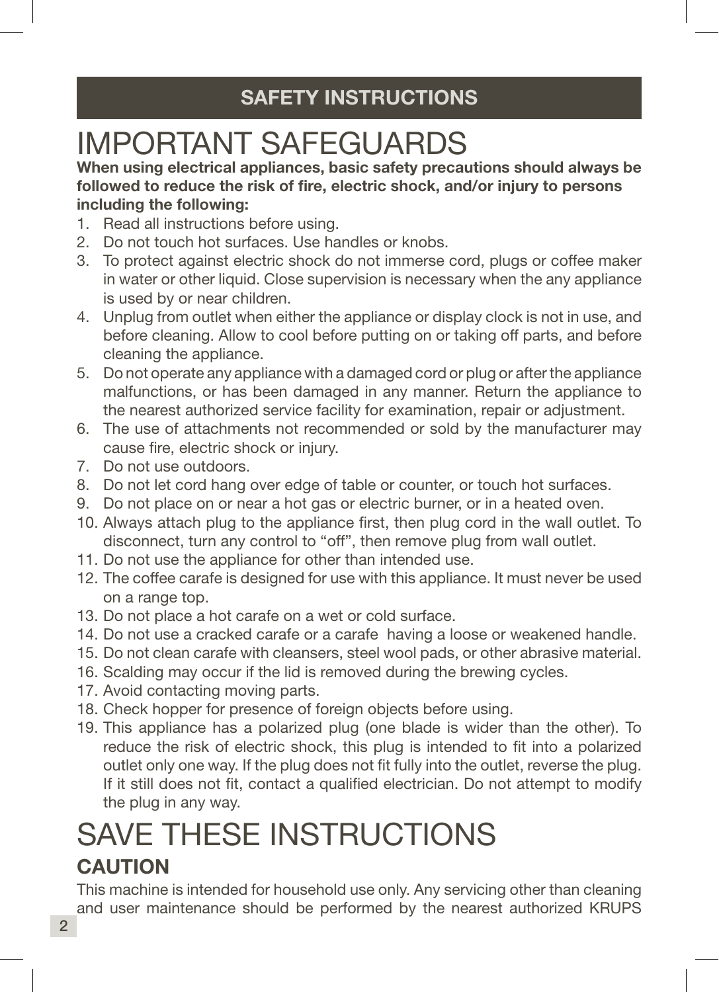# SAFETY INSTRUCTIONS

# IMPORTANT SAFEGUARDS

When using electrical appliances, basic safety precautions should always be followed to reduce the risk of fire, electric shock, and/or injury to persons including the following:

- 1. Read all instructions before using.
- 2. Do not touch hot surfaces. Use handles or knobs.
- 3. To protect against electric shock do not immerse cord, plugs or coffee maker in water or other liquid. Close supervision is necessary when the any appliance is used by or near children.
- 4. Unplug from outlet when either the appliance or display clock is not in use, and before cleaning. Allow to cool before putting on or taking off parts, and before cleaning the appliance.
- 5. Do not operate any appliance with a damaged cord or plug or after the appliance malfunctions, or has been damaged in any manner. Return the appliance to the nearest authorized service facility for examination, repair or adjustment.
- 6. The use of attachments not recommended or sold by the manufacturer may cause fire, electric shock or injury.
- 7. Do not use outdoors.
- 8. Do not let cord hang over edge of table or counter, or touch hot surfaces.
- 9. Do not place on or near a hot gas or electric burner, or in a heated oven.
- 10. Always attach plug to the appliance first, then plug cord in the wall outlet. To disconnect, turn any control to "off", then remove plug from wall outlet.
- 11. Do not use the appliance for other than intended use.
- 12. The coffee carafe is designed for use with this appliance. It must never be used on a range top.
- 13. Do not place a hot carafe on a wet or cold surface.
- 14. Do not use a cracked carafe or a carafe having a loose or weakened handle.
- 15. Do not clean carafe with cleansers, steel wool pads, or other abrasive material.
- 16. Scalding may occur if the lid is removed during the brewing cycles.
- 17. Avoid contacting moving parts.
- 18. Check hopper for presence of foreign objects before using.
- 19. This appliance has a polarized plug (one blade is wider than the other). To reduce the risk of electric shock, this plug is intended to fit into a polarized outlet only one way. If the plug does not fit fully into the outlet, reverse the plug. If it still does not fit, contact a qualified electrician. Do not attempt to modify the plug in any way.

# SAVE THESE INSTRUCTIONS CAUTION

This machine is intended for household use only. Any servicing other than cleaning and user maintenance should be performed by the nearest authorized KRUPS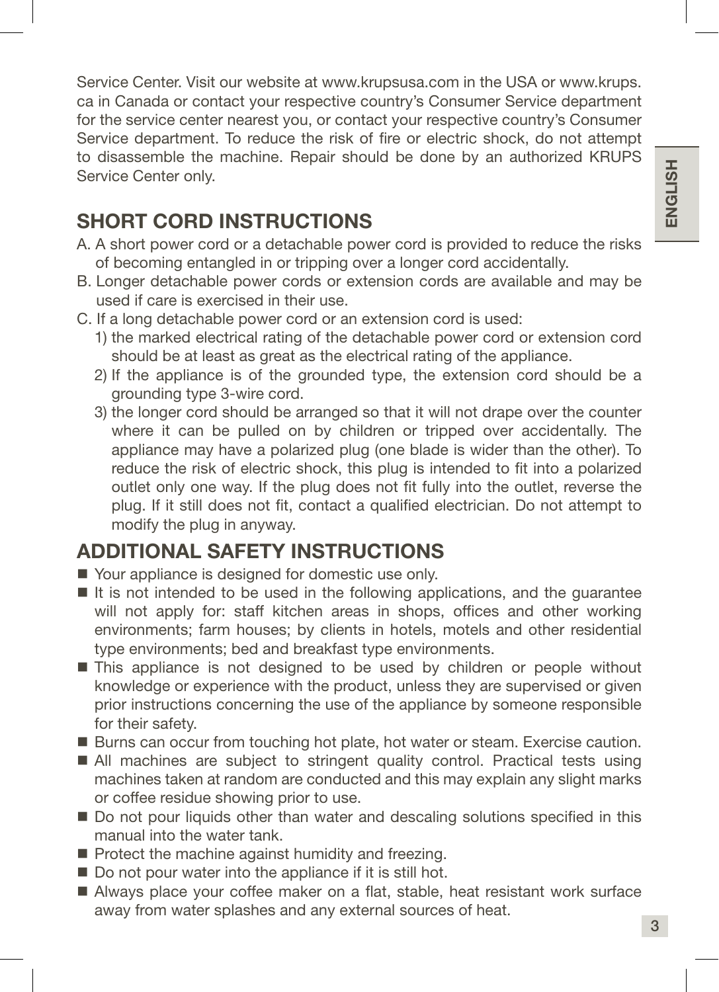Service Center. Visit our website at www.krupsusa.com in the USA or www.krups. ca in Canada or contact your respective country's Consumer Service department for the service center nearest you, or contact your respective country's Consumer Service department. To reduce the risk of fire or electric shock, do not attempt to disassemble the machine. Repair should be done by an authorized KRUPS Service Center only.

### SHORT CORD INSTRUCTIONS

- A. A short power cord or a detachable power cord is provided to reduce the risks of becoming entangled in or tripping over a longer cord accidentally.
- B. Longer detachable power cords or extension cords are available and may be used if care is exercised in their use.
- C. If a long detachable power cord or an extension cord is used:
	- 1) the marked electrical rating of the detachable power cord or extension cord should be at least as great as the electrical rating of the appliance.
	- 2) If the appliance is of the grounded type, the extension cord should be a grounding type 3-wire cord.
	- 3) the longer cord should be arranged so that it will not drape over the counter where it can be pulled on by children or tripped over accidentally. The appliance may have a polarized plug (one blade is wider than the other). To reduce the risk of electric shock, this plug is intended to fit into a polarized outlet only one way. If the plug does not fit fully into the outlet, reverse the plug. If it still does not fit, contact a qualified electrician. Do not attempt to modify the plug in anyway.

### ADDITIONAL SAFETY INSTRUCTIONS

- Your appliance is designed for domestic use only.
- It is not intended to be used in the following applications, and the quarantee will not apply for: staff kitchen areas in shops, offices and other working environments; farm houses; by clients in hotels, motels and other residential type environments; bed and breakfast type environments.
- This appliance is not designed to be used by children or people without knowledge or experience with the product, unless they are supervised or given prior instructions concerning the use of the appliance by someone responsible for their safety.
- **Burns can occur from touching hot plate, hot water or steam. Exercise caution.**
- All machines are subject to stringent quality control. Practical tests using machines taken at random are conducted and this may explain any slight marks or coffee residue showing prior to use.
- Do not pour liquids other than water and descaling solutions specified in this manual into the water tank.
- Protect the machine against humidity and freezing.
- Do not pour water into the appliance if it is still hot.
- Always place your coffee maker on a flat, stable, heat resistant work surface away from water splashes and any external sources of heat.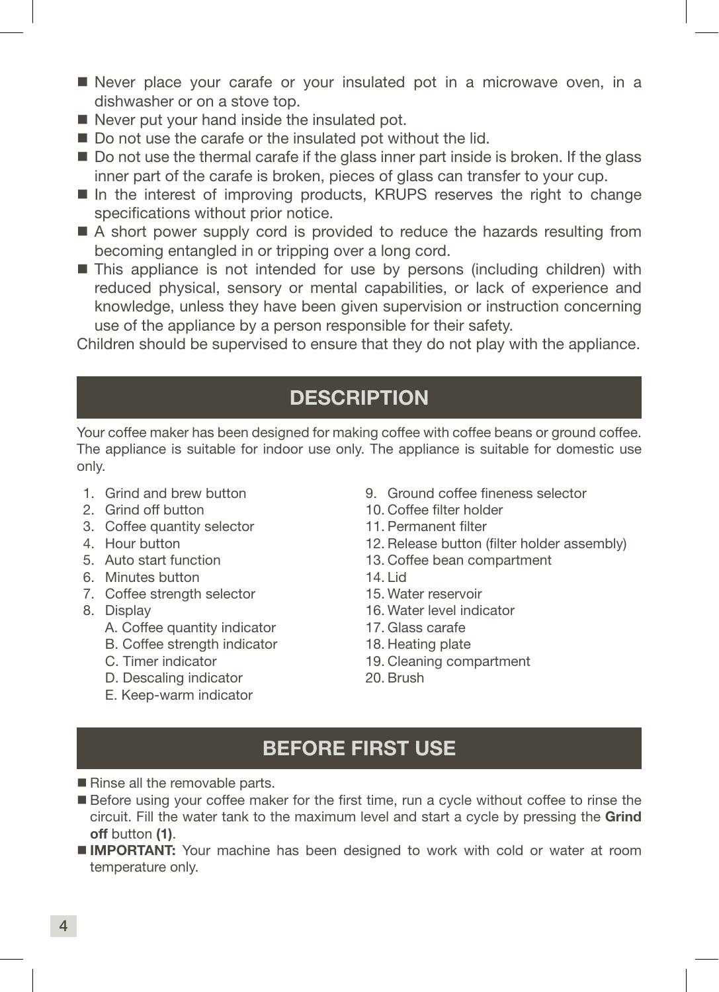- Never place your carafe or your insulated pot in a microwave oven, in a dishwasher or on a stove top.
- Never put your hand inside the insulated pot.
- Do not use the carafe or the insulated pot without the lid.
- Do not use the thermal carafe if the glass inner part inside is broken. If the glass inner part of the carafe is broken, pieces of glass can transfer to your cup.
- In the interest of improving products, KRUPS reserves the right to change specifications without prior notice.
- A short power supply cord is provided to reduce the hazards resulting from becoming entangled in or tripping over a long cord.
- **This appliance is not intended for use by persons (including children) with** reduced physical, sensory or mental capabilities, or lack of experience and knowledge, unless they have been given supervision or instruction concerning use of the appliance by a person responsible for their safety.

Children should be supervised to ensure that they do not play with the appliance.

### **DESCRIPTION**

Your coffee maker has been designed for making coffee with coffee beans or ground coffee. The appliance is suitable for indoor use only. The appliance is suitable for domestic use only.

- 1. Grind and brew button
- 2. Grind off button
- 3. Coffee quantity selector
- 4. Hour button
- 5. Auto start function
- 6. Minutes button
- 7. Coffee strength selector
- 8. Display
	- A. Coffee quantity indicator
	- B. Coffee strength indicator
	- C. Timer indicator
	- D. Descaling indicator
	- E. Keep-warm indicator
- 9. Ground coffee fineness selector
- 10. Coffee filter holder
- 11. Permanent filter
- 12. Release button (filter holder assembly)
- 13. Coffee bean compartment
- 14. Lid
- 15. Water reservoir
- 16. Water level indicator
- 17. Glass carafe
- 18. Heating plate
- 19. Cleaning compartment
- 20. Brush

### BEFORE FIRST USE

- Rinse all the removable parts.
- Before using your coffee maker for the first time, run a cycle without coffee to rinse the circuit. Fill the water tank to the maximum level and start a cycle by pressing the Grind off button (1).
- **IMPORTANT:** Your machine has been designed to work with cold or water at room temperature only.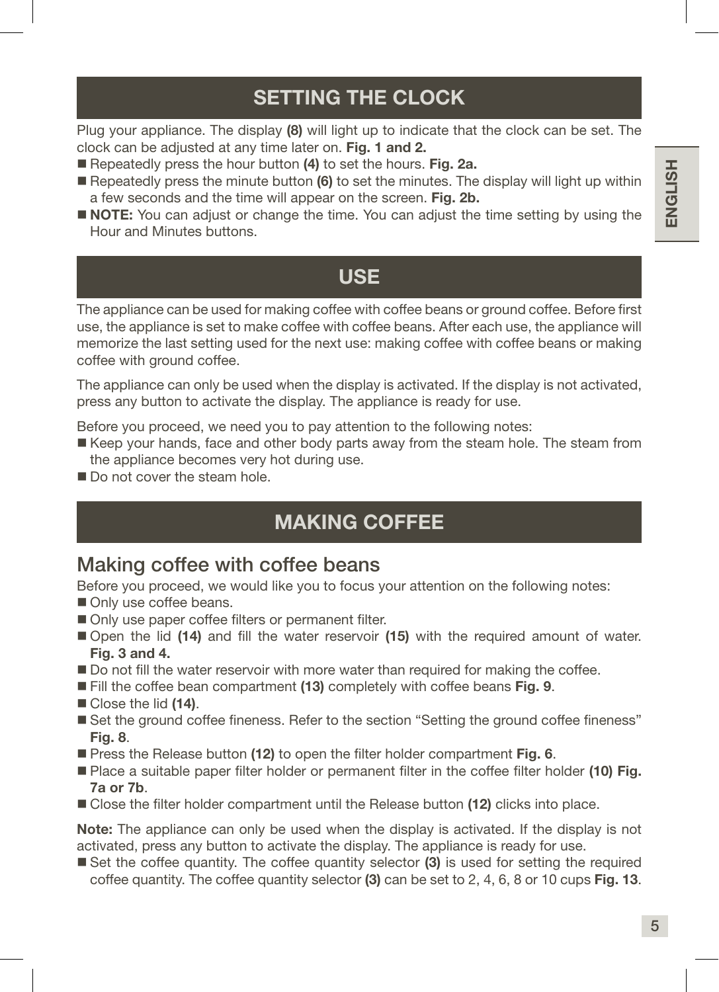# SETTING THE CLOCK

Plug your appliance. The display (8) will light up to indicate that the clock can be set. The clock can be adjusted at any time later on. Fig. 1 and 2.

- Repeatedly press the hour button (4) to set the hours. Fig. 2a.
- Repeatedly press the minute button  $(6)$  to set the minutes. The display will light up within a few seconds and the time will appear on the screen. Fig. 2b.
- **NOTE:** You can adjust or change the time. You can adjust the time setting by using the Hour and Minutes buttons.

### USE

The appliance can be used for making coffee with coffee beans or ground coffee. Before first use, the appliance is set to make coffee with coffee beans. After each use, the appliance will memorize the last setting used for the next use: making coffee with coffee beans or making coffee with ground coffee.

The appliance can only be used when the display is activated. If the display is not activated, press any button to activate the display. The appliance is ready for use.

Before you proceed, we need you to pay attention to the following notes:

- Keep your hands, face and other body parts away from the steam hole. The steam from the appliance becomes very hot during use.
- Do not cover the steam hole.

### MAKING COFFEE

### Making coffee with coffee beans

Before you proceed, we would like you to focus your attention on the following notes:

- Only use coffee beans.
- Only use paper coffee filters or permanent filter.
- Open the lid (14) and fill the water reservoir (15) with the required amount of water. Fig. 3 and 4.
- Do not fill the water reservoir with more water than required for making the coffee.
- **Fill the coffee bean compartment (13) completely with coffee beans Fig. 9.**
- Close the lid (14).
- Set the ground coffee fineness. Refer to the section "Setting the ground coffee fineness" Fig. 8.
- Press the Release button (12) to open the filter holder compartment Fig. 6.
- Place a suitable paper filter holder or permanent filter in the coffee filter holder (10) Fig. 7a or 7b.
- Close the filter holder compartment until the Release button (12) clicks into place.

Note: The appliance can only be used when the display is activated. If the display is not activated, press any button to activate the display. The appliance is ready for use.

Set the coffee quantity. The coffee quantity selector (3) is used for setting the required coffee quantity. The coffee quantity selector  $(3)$  can be set to 2, 4, 6, 8 or 10 cups Fig. 13.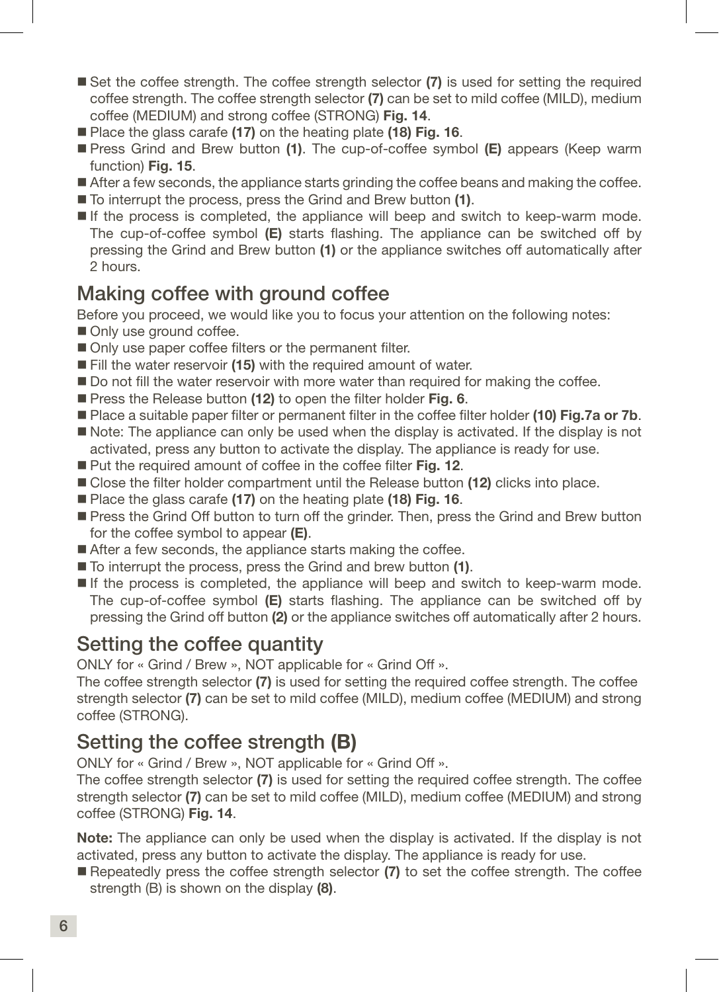- Set the coffee strength. The coffee strength selector (7) is used for setting the required coffee strength. The coffee strength selector (7) can be set to mild coffee (MILD), medium coffee (MEDIUM) and strong coffee (STRONG) Fig. 14.
- Place the glass carafe (17) on the heating plate (18) Fig. 16.
- **Press Grind and Brew button (1).** The cup-of-coffee symbol **(E)** appears (Keep warm function) **Fig. 15.**
- After a few seconds, the appliance starts grinding the coffee beans and making the coffee.
- To interrupt the process, press the Grind and Brew button (1).
- If the process is completed, the appliance will beep and switch to keep-warm mode. The cup-of-coffee symbol  $(E)$  starts flashing. The appliance can be switched off by pressing the Grind and Brew button (1) or the appliance switches off automatically after 2 hours.

### Making coffee with ground coffee

Before you proceed, we would like you to focus your attention on the following notes:

- Only use ground coffee.
- Only use paper coffee filters or the permanent filter.
- Fill the water reservoir (15) with the required amount of water.
- Do not fill the water reservoir with more water than required for making the coffee.
- **Press the Release button (12) to open the filter holder Fig. 6.**
- **Place a suitable paper filter or permanent filter in the coffee filter holder (10) Fig.7a or 7b.**
- Note: The appliance can only be used when the display is activated. If the display is not activated, press any button to activate the display. The appliance is ready for use.
- Put the required amount of coffee in the coffee filter Fig. 12.
- Close the filter holder compartment until the Release button (12) clicks into place.
- Place the glass carafe (17) on the heating plate (18) Fig. 16.
- Press the Grind Off button to turn off the grinder. Then, press the Grind and Brew button for the coffee symbol to appear  $(E)$ .
- After a few seconds, the appliance starts making the coffee.
- To interrupt the process, press the Grind and brew button (1).
- $\blacksquare$  If the process is completed, the appliance will beep and switch to keep-warm mode. The cup-of-coffee symbol  $(E)$  starts flashing. The appliance can be switched off by pressing the Grind off button (2) or the appliance switches off automatically after 2 hours.

### Setting the coffee quantity

ONLY for « Grind / Brew », NOT applicable for « Grind Off ».

The coffee strength selector (7) is used for setting the required coffee strength. The coffee strength selector (7) can be set to mild coffee (MILD), medium coffee (MEDIUM) and strong coffee (STRONG).

### Setting the coffee strength (B)

ONLY for « Grind / Brew », NOT applicable for « Grind Off ».

The coffee strength selector (7) is used for setting the required coffee strength. The coffee strength selector (7) can be set to mild coffee (MILD), medium coffee (MEDIUM) and strong coffee (STRONG) Fig. 14.

Note: The appliance can only be used when the display is activated. If the display is not activated, press any button to activate the display. The appliance is ready for use.

Repeatedly press the coffee strength selector (7) to set the coffee strength. The coffee strength (B) is shown on the display (8).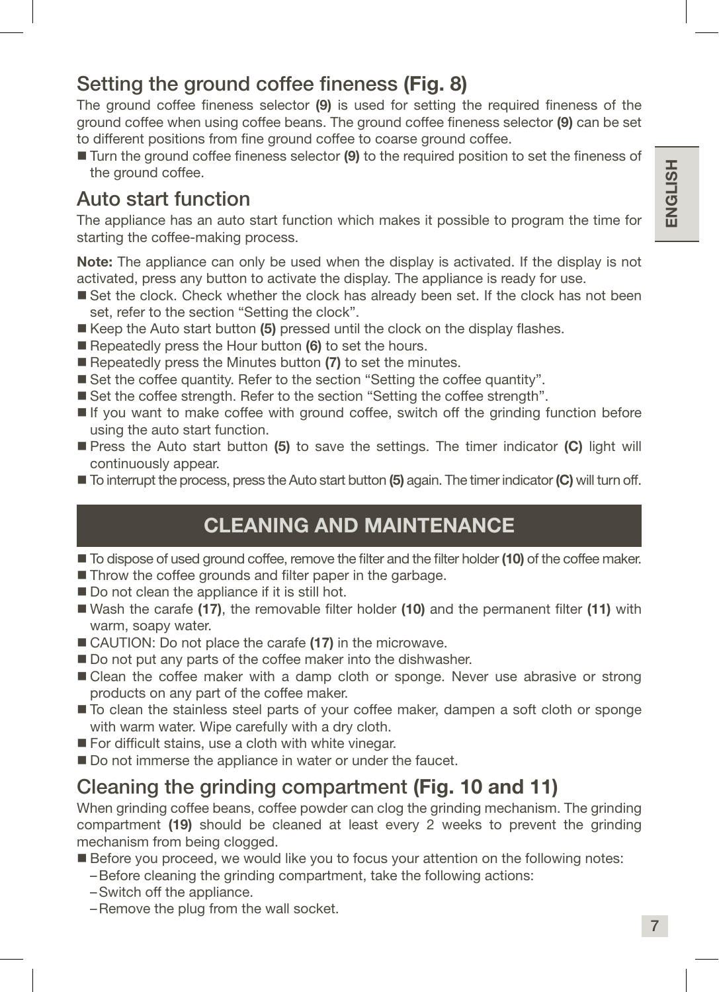### Setting the ground coffee fineness (Fig. 8)

The ground coffee fineness selector (9) is used for setting the required fineness of the ground coffee when using coffee beans. The ground coffee fineness selector (9) can be set to different positions from fine ground coffee to coarse ground coffee.

■ Turn the ground coffee fineness selector (9) to the required position to set the fineness of the ground coffee.

### Auto start function

The appliance has an auto start function which makes it possible to program the time for starting the coffee-making process.

Note: The appliance can only be used when the display is activated. If the display is not activated, press any button to activate the display. The appliance is ready for use.

- Set the clock. Check whether the clock has already been set. If the clock has not been set, refer to the section "Setting the clock".
- $\blacksquare$  Keep the Auto start button (5) pressed until the clock on the display flashes.
- Repeatedly press the Hour button (6) to set the hours.
- Repeatedly press the Minutes button (7) to set the minutes.
- Set the coffee quantity. Refer to the section "Setting the coffee quantity".
- Set the coffee strength. Refer to the section "Setting the coffee strength".
- If you want to make coffee with ground coffee, switch off the grinding function before using the auto start function.
- **Press the Auto start button (5) to save the settings. The timer indicator (C) light will** continuously appear.
- $\blacksquare$  To interrupt the process, press the Auto start button (5) again. The timer indicator (C) will turn off.

### CLEANING AND MAINTENANCE

- $\blacksquare$  To dispose of used ground coffee, remove the filter and the filter holder (10) of the coffee maker.
- Throw the coffee grounds and filter paper in the garbage.
- Do not clean the appliance if it is still hot.
- Wash the carafe (17), the removable filter holder (10) and the permanent filter (11) with warm, soapy water.
- CAUTION: Do not place the carafe (17) in the microwave.
- Do not put any parts of the coffee maker into the dishwasher.
- Clean the coffee maker with a damp cloth or sponge. Never use abrasive or strong products on any part of the coffee maker.
- $\blacksquare$  To clean the stainless steel parts of your coffee maker, dampen a soft cloth or sponge with warm water. Wipe carefully with a dry cloth.
- For difficult stains, use a cloth with white vinegar.
- Do not immerse the appliance in water or under the faucet.

### Cleaning the grinding compartment (Fig. 10 and 11)

When grinding coffee beans, coffee powder can clog the grinding mechanism. The grinding compartment (19) should be cleaned at least every 2 weeks to prevent the grinding mechanism from being clogged.

- Before you proceed, we would like you to focus your attention on the following notes:
	- –Before cleaning the grinding compartment, take the following actions:
	- –Switch off the appliance.
	- –Remove the plug from the wall socket.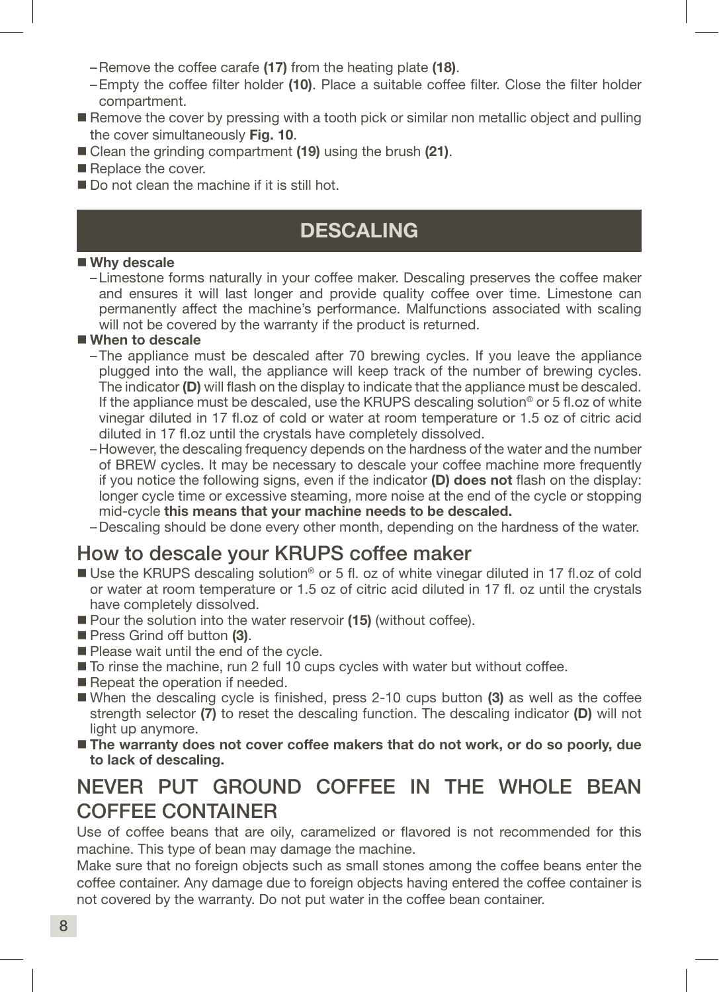–Remove the coffee carafe (17) from the heating plate (18).

- –Empty the coffee filter holder (10). Place a suitable coffee filter. Close the filter holder compartment.
- Remove the cover by pressing with a tooth pick or similar non metallic object and pulling the cover simultaneously Fig. 10.
- Clean the grinding compartment (19) using the brush (21).
- Replace the cover.
- Do not clean the machine if it is still hot.

### DESCALING

### ■ Why descale

–Limestone forms naturally in your coffee maker. Descaling preserves the coffee maker and ensures it will last longer and provide quality coffee over time. Limestone can permanently affect the machine's performance. Malfunctions associated with scaling will not be covered by the warranty if the product is returned.

### When to descale

- –The appliance must be descaled after 70 brewing cycles. If you leave the appliance plugged into the wall, the appliance will keep track of the number of brewing cycles. The indicator (D) will flash on the display to indicate that the appliance must be descaled. If the appliance must be descaled, use the KRUPS descaling solution® or 5 fl.oz of white vinegar diluted in 17 fl.oz of cold or water at room temperature or 1.5 oz of citric acid diluted in 17 fl.oz until the crystals have completely dissolved.
- –However, the descaling frequency depends on the hardness of the water and the number of BREW cycles. It may be necessary to descale your coffee machine more frequently if you notice the following signs, even if the indicator (D) does not flash on the display: longer cycle time or excessive steaming, more noise at the end of the cycle or stopping mid-cycle this means that your machine needs to be descaled.
- –Descaling should be done every other month, depending on the hardness of the water.

### How to descale your KRUPS coffee maker

- Use the KRUPS descaling solution<sup>®</sup> or 5 fl. oz of white vinegar diluted in 17 fl.oz of cold or water at room temperature or 1.5 oz of citric acid diluted in 17 fl. oz until the crystals have completely dissolved.
- Pour the solution into the water reservoir (15) (without coffee).
- Press Grind off button (3).
- Please wait until the end of the cycle.
- To rinse the machine, run 2 full 10 cups cycles with water but without coffee.
- Repeat the operation if needed.
- When the descaling cycle is finished, press 2-10 cups button  $(3)$  as well as the coffee strength selector (7) to reset the descaling function. The descaling indicator (D) will not light up anymore.
- The warranty does not cover coffee makers that do not work, or do so poorly, due to lack of descaling.

### NEVER PUT GROUND COFFEE IN THE WHOLE BEAN COFFEE CONTAINER

Use of coffee beans that are oily, caramelized or flavored is not recommended for this machine. This type of bean may damage the machine.

Make sure that no foreign objects such as small stones among the coffee beans enter the coffee container. Any damage due to foreign objects having entered the coffee container is not covered by the warranty. Do not put water in the coffee bean container.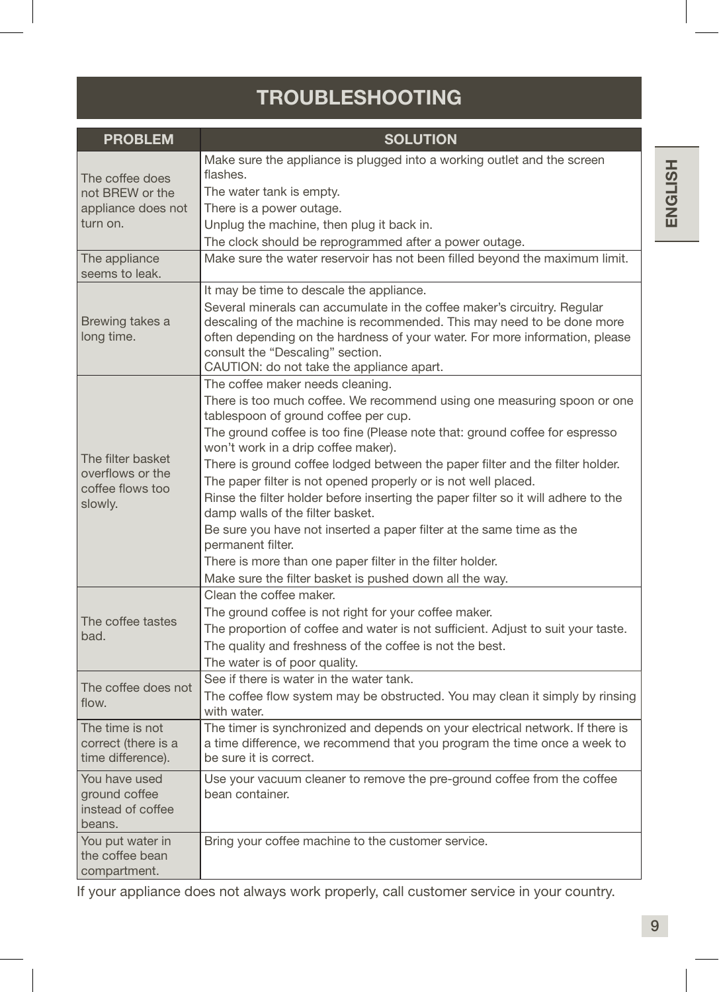# TROUBLESHOOTING

| <b>PROBLEM</b>                      | <b>SOLUTION</b>                                                                                                                                       |
|-------------------------------------|-------------------------------------------------------------------------------------------------------------------------------------------------------|
|                                     | Make sure the appliance is plugged into a working outlet and the screen                                                                               |
| The coffee does                     | flashes.                                                                                                                                              |
| not BREW or the                     | The water tank is empty.                                                                                                                              |
| appliance does not                  | There is a power outage.                                                                                                                              |
| turn on.                            | Unplug the machine, then plug it back in.                                                                                                             |
|                                     | The clock should be reprogrammed after a power outage.                                                                                                |
| The appliance<br>seems to leak.     | Make sure the water reservoir has not been filled beyond the maximum limit.                                                                           |
|                                     | It may be time to descale the appliance.                                                                                                              |
|                                     | Several minerals can accumulate in the coffee maker's circuitry. Regular                                                                              |
| Brewing takes a<br>long time.       | descaling of the machine is recommended. This may need to be done more<br>often depending on the hardness of your water. For more information, please |
|                                     | consult the "Descaling" section.                                                                                                                      |
|                                     | CAUTION: do not take the appliance apart.<br>The coffee maker needs cleaning.                                                                         |
|                                     | There is too much coffee. We recommend using one measuring spoon or one                                                                               |
|                                     | tablespoon of ground coffee per cup.                                                                                                                  |
|                                     | The ground coffee is too fine (Please note that: ground coffee for espresso<br>won't work in a drip coffee maker).                                    |
| The filter basket                   | There is ground coffee lodged between the paper filter and the filter holder.                                                                         |
| overflows or the                    | The paper filter is not opened properly or is not well placed.                                                                                        |
| coffee flows too<br>slowly.         | Rinse the filter holder before inserting the paper filter so it will adhere to the                                                                    |
|                                     | damp walls of the filter basket.                                                                                                                      |
|                                     | Be sure you have not inserted a paper filter at the same time as the<br>permanent filter.                                                             |
|                                     | There is more than one paper filter in the filter holder.                                                                                             |
|                                     | Make sure the filter basket is pushed down all the way.                                                                                               |
|                                     | Clean the coffee maker.                                                                                                                               |
|                                     | The ground coffee is not right for your coffee maker.                                                                                                 |
| The coffee tastes                   | The proportion of coffee and water is not sufficient. Adjust to suit your taste.                                                                      |
| bad.                                | The quality and freshness of the coffee is not the best.                                                                                              |
|                                     | The water is of poor quality.                                                                                                                         |
|                                     | See if there is water in the water tank.                                                                                                              |
| The coffee does not<br>flow.        | The coffee flow system may be obstructed. You may clean it simply by rinsing                                                                          |
|                                     | with water.                                                                                                                                           |
| The time is not                     | The timer is synchronized and depends on your electrical network. If there is                                                                         |
| correct (there is a                 | a time difference, we recommend that you program the time once a week to                                                                              |
| time difference).                   | be sure it is correct.                                                                                                                                |
| You have used                       | Use your vacuum cleaner to remove the pre-ground coffee from the coffee                                                                               |
| ground coffee                       | bean container.                                                                                                                                       |
| instead of coffee                   |                                                                                                                                                       |
| beans.                              |                                                                                                                                                       |
| You put water in<br>the coffee bean | Bring your coffee machine to the customer service.                                                                                                    |
| compartment.                        |                                                                                                                                                       |

If your appliance does not always work properly, call customer service in your country.

9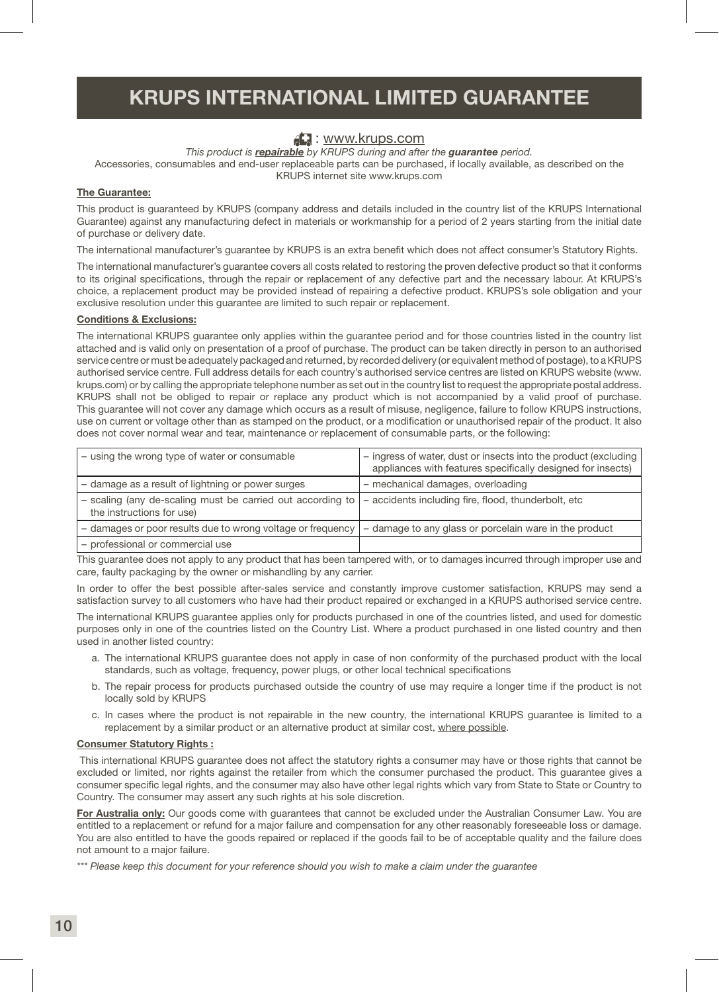### KRUPS INTERNATIONAL LIMITED GUARANTEE

### **E:** www.krups.com

*This product is repairable by KRUPS during and after the guarantee period.*

Accessories, consumables and end-user replaceable parts can be purchased, if locally available, as described on the KRUPS internet site www.krups.com

### The Guarantee:

This product is guaranteed by KRUPS (company address and details included in the country list of the KRUPS International Guarantee) against any manufacturing defect in materials or workmanship for a period of 2 years starting from the initial date of purchase or delivery date.

The international manufacturer's guarantee by KRUPS is an extra benefit which does not affect consumer's Statutory Rights.

The international manufacturer's guarantee covers all costs related to restoring the proven defective product so that it conforms to its original specifications, through the repair or replacement of any defective part and the necessary labour. At KRUPS's choice, a replacement product may be provided instead of repairing a defective product. KRUPS's sole obligation and your exclusive resolution under this guarantee are limited to such repair or replacement.

### Conditions & Exclusions:

The international KRUPS guarantee only applies within the guarantee period and for those countries listed in the country list attached and is valid only on presentation of a proof of purchase. The product can be taken directly in person to an authorised service centre or must be adequately packaged and returned, by recorded delivery (or equivalent method of postage), to a KRUPS authorised service centre. Full address details for each country's authorised service centres are listed on KRUPS website (www. krups.com) or by calling the appropriate telephone number as set out in the country list to request the appropriate postal address. KRUPS shall not be obliged to repair or replace any product which is not accompanied by a valid proof of purchase. This guarantee will not cover any damage which occurs as a result of misuse, negligence, failure to follow KRUPS instructions, use on current or voltage other than as stamped on the product, or a modification or unauthorised repair of the product. It also does not cover normal wear and tear, maintenance or replacement of consumable parts, or the following:

| - using the wrong type of water or consumable                                                                                                 | - ingress of water, dust or insects into the product (excluding<br>appliances with features specifically designed for insects) |
|-----------------------------------------------------------------------------------------------------------------------------------------------|--------------------------------------------------------------------------------------------------------------------------------|
| - damage as a result of lightning or power surges                                                                                             | - mechanical damages, overloading                                                                                              |
| - scaling (any de-scaling must be carried out according to   - accidents including fire, flood, thunderbolt, etc<br>the instructions for use) |                                                                                                                                |
| - damages or poor results due to wrong voltage or frequency                                                                                   | - damage to any glass or porcelain ware in the product                                                                         |
| - professional or commercial use                                                                                                              |                                                                                                                                |

This guarantee does not apply to any product that has been tampered with, or to damages incurred through improper use and care, faulty packaging by the owner or mishandling by any carrier.

In order to offer the best possible after-sales service and constantly improve customer satisfaction, KRUPS may send a satisfaction survey to all customers who have had their product repaired or exchanged in a KRUPS authorised service centre.

The international KRUPS guarantee applies only for products purchased in one of the countries listed, and used for domestic purposes only in one of the countries listed on the Country List. Where a product purchased in one listed country and then used in another listed country:

- a. The international KRUPS guarantee does not apply in case of non conformity of the purchased product with the local standards, such as voltage, frequency, power plugs, or other local technical specifications
- b. The repair process for products purchased outside the country of use may require a longer time if the product is not locally sold by KRUPS
- c. In cases where the product is not repairable in the new country, the international KRUPS guarantee is limited to a replacement by a similar product or an alternative product at similar cost, where possible.

### Consumer Statutory Rights :

 This international KRUPS guarantee does not affect the statutory rights a consumer may have or those rights that cannot be excluded or limited, nor rights against the retailer from which the consumer purchased the product. This guarantee gives a consumer specific legal rights, and the consumer may also have other legal rights which vary from State to State or Country to Country. The consumer may assert any such rights at his sole discretion.

For Australia only: Our goods come with guarantees that cannot be excluded under the Australian Consumer Law. You are entitled to a replacement or refund for a major failure and compensation for any other reasonably foreseeable loss or damage. You are also entitled to have the goods repaired or replaced if the goods fail to be of acceptable quality and the failure does not amount to a major failure.

*\*\*\* Please keep this document for your reference should you wish to make a claim under the guarantee*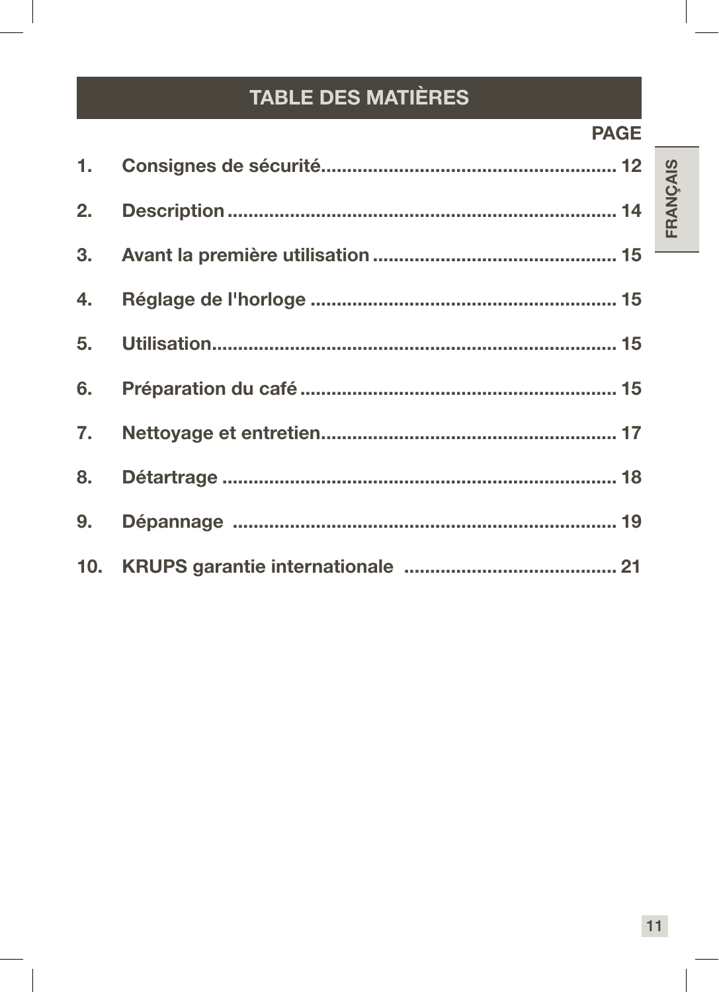# **TABLE DES MATIÈRES**

### **PAGE**

FRANÇAIS

| 6. |  |
|----|--|
| 7. |  |
| 8. |  |
| 9. |  |
|    |  |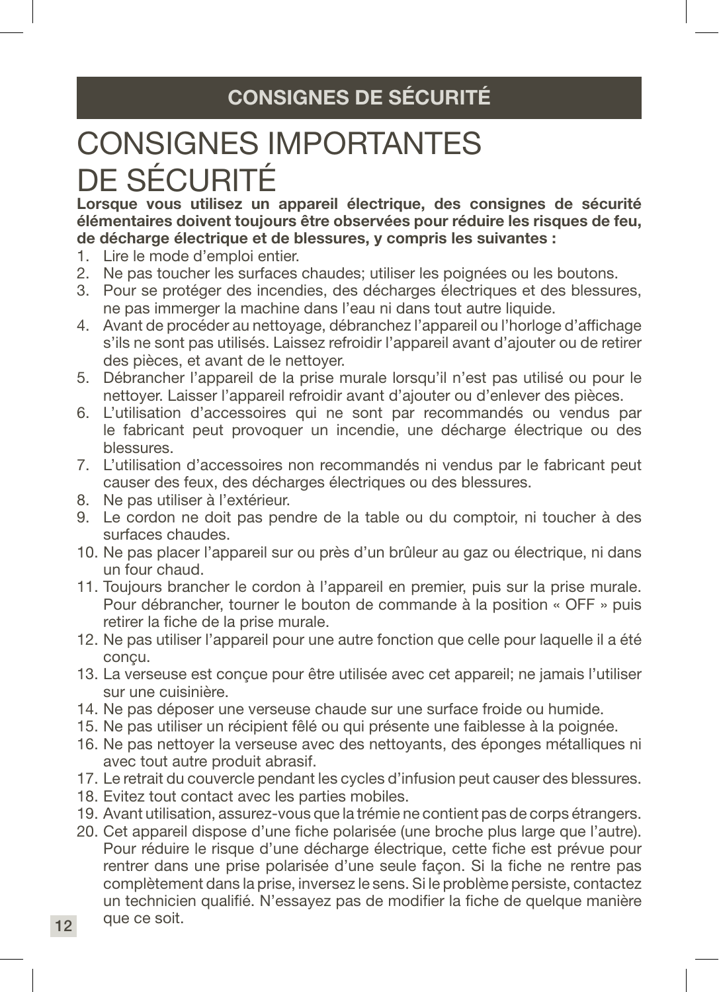# CONSIGNES DE SÉCURITÉ

# CONSIGNES IMPORTANTES DE SÉCURITÉ

Lorsque vous utilisez un appareil électrique, des consignes de sécurité élémentaires doivent toujours être observées pour réduire les risques de feu, de décharge électrique et de blessures, y compris les suivantes :

- 1. Lire le mode d'emploi entier.
- 2. Ne pas toucher les surfaces chaudes; utiliser les poignées ou les boutons.
- 3. Pour se protéger des incendies, des décharges électriques et des blessures, ne pas immerger la machine dans l'eau ni dans tout autre liquide.
- 4. Avant de procéder au nettoyage, débranchez l'appareil ou l'horloge d'affichage s'ils ne sont pas utilisés. Laissez refroidir l'appareil avant d'ajouter ou de retirer des pièces, et avant de le nettoyer.
- 5. Débrancher l'appareil de la prise murale lorsqu'il n'est pas utilisé ou pour le nettoyer. Laisser l'appareil refroidir avant d'ajouter ou d'enlever des pièces.
- 6. L'utilisation d'accessoires qui ne sont par recommandés ou vendus par le fabricant peut provoquer un incendie, une décharge électrique ou des blessures.
- 7. L'utilisation d'accessoires non recommandés ni vendus par le fabricant peut causer des feux, des décharges électriques ou des blessures.
- 8. Ne pas utiliser à l'extérieur.
- 9. Le cordon ne doit pas pendre de la table ou du comptoir, ni toucher à des surfaces chaudes.
- 10. Ne pas placer l'appareil sur ou près d'un brûleur au gaz ou électrique, ni dans un four chaud.
- 11. Toujours brancher le cordon à l'appareil en premier, puis sur la prise murale. Pour débrancher, tourner le bouton de commande à la position « OFF » puis retirer la fiche de la prise murale.
- 12. Ne pas utiliser l'appareil pour une autre fonction que celle pour laquelle il a été concu.
- 13. La verseuse est conçue pour être utilisée avec cet appareil; ne jamais l'utiliser sur une cuisinière.
- 14. Ne pas déposer une verseuse chaude sur une surface froide ou humide.
- 15. Ne pas utiliser un récipient fêlé ou qui présente une faiblesse à la poignée.
- 16. Ne pas nettoyer la verseuse avec des nettoyants, des éponges métalliques ni avec tout autre produit abrasif.
- 17. Le retrait du couvercle pendant les cycles d'infusion peut causer des blessures.
- 18. Evitez tout contact avec les parties mobiles.
- 19. Avant utilisation, assurez-vous que la trémie ne contient pas de corps étrangers.
- 20. Cet appareil dispose d'une fiche polarisée (une broche plus large que l'autre). Pour réduire le risque d'une décharge électrique, cette fiche est prévue pour rentrer dans une prise polarisée d'une seule façon. Si la fiche ne rentre pas complètement dans la prise, inversez le sens. Si le problème persiste, contactez un technicien qualifié. N'essayez pas de modifier la fiche de quelque manière que ce soit.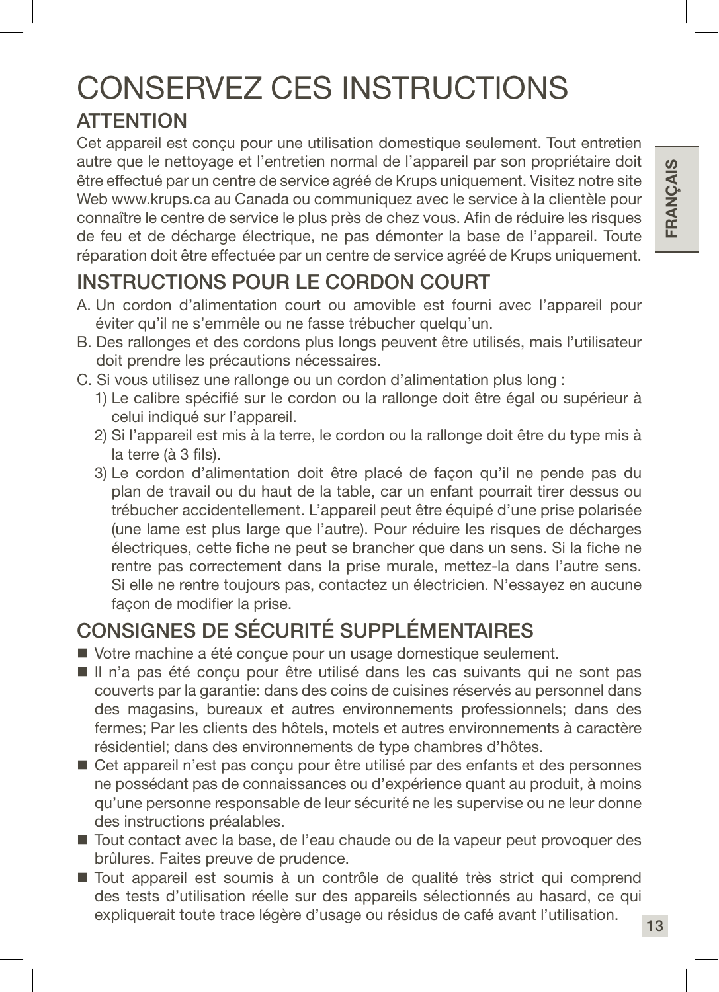# CONSERVEZ CES INSTRUCTIONS

### **ATTENTION**

Cet appareil est conçu pour une utilisation domestique seulement. Tout entretien autre que le nettoyage et l'entretien normal de l'appareil par son propriétaire doit être effectué par un centre de service agréé de Krups uniquement. Visitez notre site Web www.krups.ca au Canada ou communiquez avec le service à la clientèle pour connaître le centre de service le plus près de chez vous. Afin de réduire les risques de feu et de décharge électrique, ne pas démonter la base de l'appareil. Toute réparation doit être effectuée par un centre de service agréé de Krups uniquement.

# INSTRUCTIONS POUR LE CORDON COURT

- A. Un cordon d'alimentation court ou amovible est fourni avec l'appareil pour éviter qu'il ne s'emmêle ou ne fasse trébucher quelqu'un.
- B. Des rallonges et des cordons plus longs peuvent être utilisés, mais l'utilisateur doit prendre les précautions nécessaires.
- C. Si vous utilisez une rallonge ou un cordon d'alimentation plus long :
	- 1) Le calibre spécifié sur le cordon ou la rallonge doit être égal ou supérieur à celui indiqué sur l'appareil.
	- 2) Si l'appareil est mis à la terre, le cordon ou la rallonge doit être du type mis à la terre (à 3 fils).
	- 3) Le cordon d'alimentation doit être placé de façon qu'il ne pende pas du plan de travail ou du haut de la table, car un enfant pourrait tirer dessus ou trébucher accidentellement. L'appareil peut être équipé d'une prise polarisée (une lame est plus large que l'autre). Pour réduire les risques de décharges électriques, cette fiche ne peut se brancher que dans un sens. Si la fiche ne rentre pas correctement dans la prise murale, mettez-la dans l'autre sens. Si elle ne rentre toujours pas, contactez un électricien. N'essayez en aucune façon de modifier la prise.

# CONSIGNES DE SÉCURITÉ SUPPLÉMENTAIRES

- Votre machine a été conçue pour un usage domestique seulement.
- Il n'a pas été conçu pour être utilisé dans les cas suivants qui ne sont pas couverts par la garantie: dans des coins de cuisines réservés au personnel dans des magasins, bureaux et autres environnements professionnels; dans des fermes; Par les clients des hôtels, motels et autres environnements à caractère résidentiel; dans des environnements de type chambres d'hôtes.
- Cet appareil n'est pas conçu pour être utilisé par des enfants et des personnes ne possédant pas de connaissances ou d'expérience quant au produit, à moins qu'une personne responsable de leur sécurité ne les supervise ou ne leur donne des instructions préalables.
- Tout contact avec la base, de l'eau chaude ou de la vapeur peut provoquer des brûlures. Faites preuve de prudence.
- Tout appareil est soumis à un contrôle de qualité très strict qui comprend des tests d'utilisation réelle sur des appareils sélectionnés au hasard, ce qui expliquerait toute trace légère d'usage ou résidus de café avant l'utilisation.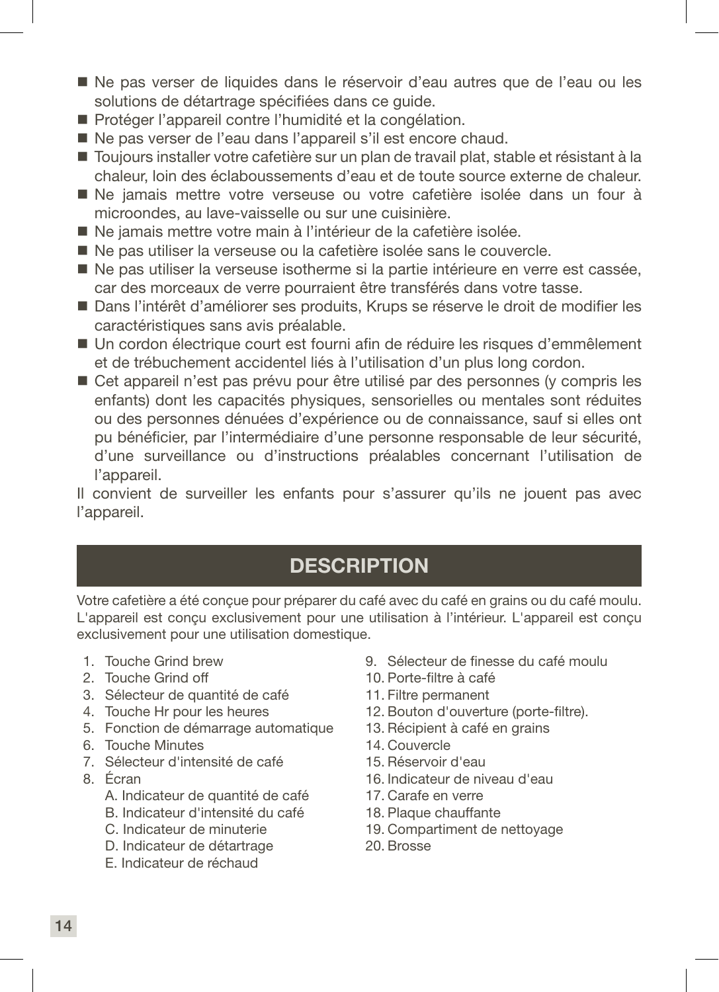- Ne pas verser de liquides dans le réservoir d'eau autres que de l'eau ou les solutions de détartrage spécifiées dans ce guide.
- Protéger l'appareil contre l'humidité et la congélation.
- Ne pas verser de l'eau dans l'appareil s'il est encore chaud.
- Toujours installer votre cafetière sur un plan de travail plat, stable et résistant à la chaleur, loin des éclaboussements d'eau et de toute source externe de chaleur.
- Ne jamais mettre votre verseuse ou votre cafetière isolée dans un four à microondes, au lave-vaisselle ou sur une cuisinière.
- Ne jamais mettre votre main à l'intérieur de la cafetière isolée.
- Ne pas utiliser la verseuse ou la cafetière isolée sans le couvercle.
- Ne pas utiliser la verseuse isotherme si la partie intérieure en verre est cassée, car des morceaux de verre pourraient être transférés dans votre tasse.
- Dans l'intérêt d'améliorer ses produits, Krups se réserve le droit de modifier les caractéristiques sans avis préalable.
- Un cordon électrique court est fourni afin de réduire les risques d'emmêlement et de trébuchement accidentel liés à l'utilisation d'un plus long cordon.
- Cet appareil n'est pas prévu pour être utilisé par des personnes (y compris les enfants) dont les capacités physiques, sensorielles ou mentales sont réduites ou des personnes dénuées d'expérience ou de connaissance, sauf si elles ont pu bénéficier, par l'intermédiaire d'une personne responsable de leur sécurité, d'une surveillance ou d'instructions préalables concernant l'utilisation de l'appareil.

Il convient de surveiller les enfants pour s'assurer qu'ils ne jouent pas avec l'appareil.

### **DESCRIPTION**

Votre cafetière a été conçue pour préparer du café avec du café en grains ou du café moulu. L'appareil est conçu exclusivement pour une utilisation à l'intérieur. L'appareil est conçu exclusivement pour une utilisation domestique.

- 1. Touche Grind brew
- 2. Touche Grind off
- 3. Sélecteur de quantité de café
- 4. Touche Hr pour les heures
- 5. Fonction de démarrage automatique
- 6. Touche Minutes
- 7. Sélecteur d'intensité de café
- 8. Écran
	- A. Indicateur de quantité de café
	- B. Indicateur d'intensité du café
	- C. Indicateur de minuterie
	- D. Indicateur de détartrage
	- E. Indicateur de réchaud
- 9. Sélecteur de finesse du café moulu
- 10. Porte-filtre à café
- 11. Filtre permanent
- 12. Bouton d'ouverture (porte-filtre).
- 13. Récipient à café en grains
- 14. Couvercle
- 15. Réservoir d'eau
- 16. Indicateur de niveau d'eau
- 17. Carafe en verre
- 18. Plaque chauffante
- 19. Compartiment de nettoyage
- 20. Brosse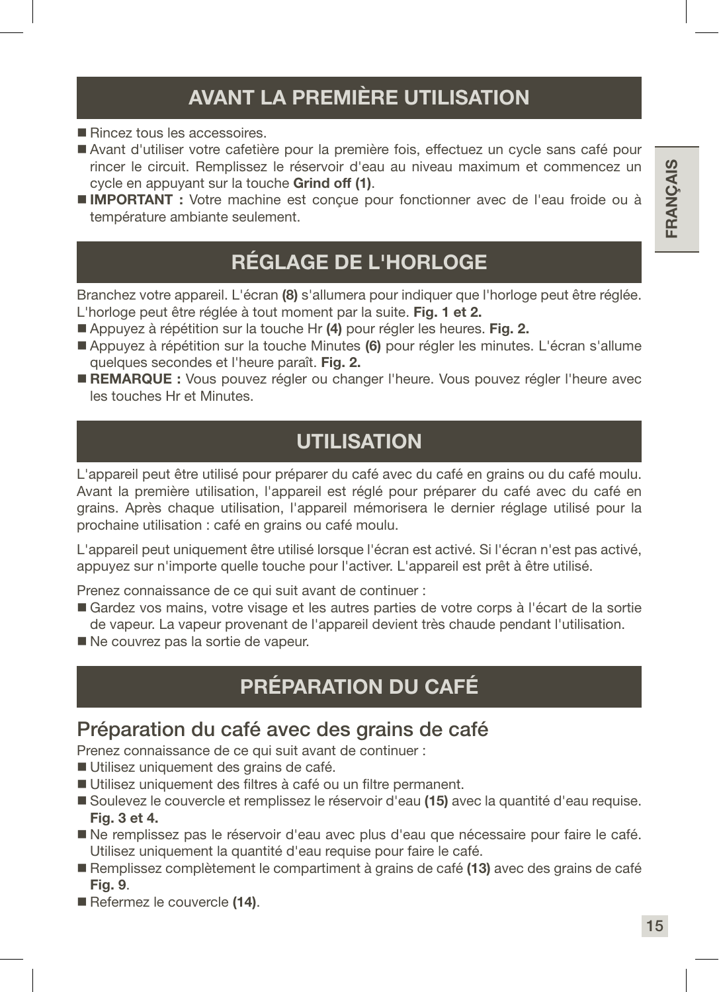# AVANT LA PREMIÈRE UTILISATION

- Rincez tous les accessoires.
- Avant d'utiliser votre cafetière pour la première fois, effectuez un cycle sans café pour rincer le circuit. Remplissez le réservoir d'eau au niveau maximum et commencez un cycle en appuyant sur la touche Grind off (1).
- **IMPORTANT :** Votre machine est concue pour fonctionner avec de l'eau froide ou à température ambiante seulement.

### RÉGLAGE DE L'HORLOGE

Branchez votre appareil. L'écran (8) s'allumera pour indiquer que l'horloge peut être réglée. L'horloge peut être réglée à tout moment par la suite. Fig. 1 et 2.

- Appuyez à répétition sur la touche Hr (4) pour régler les heures. Fig. 2.
- Appuyez à répétition sur la touche Minutes (6) pour régler les minutes. L'écran s'allume quelques secondes et l'heure paraît. Fig. 2.
- REMARQUE : Vous pouvez régler ou changer l'heure. Vous pouvez régler l'heure avec les touches Hr et Minutes.

### UTILISATION

L'appareil peut être utilisé pour préparer du café avec du café en grains ou du café moulu. Avant la première utilisation, l'appareil est réglé pour préparer du café avec du café en grains. Après chaque utilisation, l'appareil mémorisera le dernier réglage utilisé pour la prochaine utilisation : café en grains ou café moulu.

L'appareil peut uniquement être utilisé lorsque l'écran est activé. Si l'écran n'est pas activé, appuyez sur n'importe quelle touche pour l'activer. L'appareil est prêt à être utilisé.

Prenez connaissance de ce qui suit avant de continuer :

- Gardez vos mains, votre visage et les autres parties de votre corps à l'écart de la sortie de vapeur. La vapeur provenant de l'appareil devient très chaude pendant l'utilisation.
- Ne couvrez pas la sortie de vapeur.

# PRÉPARATION DU CAFÉ

### Préparation du café avec des grains de café

Prenez connaissance de ce qui suit avant de continuer :

- Utilisez uniquement des grains de café.
- Utilisez uniquement des filtres à café ou un filtre permanent.
- Soulevez le couvercle et remplissez le réservoir d'eau (15) avec la quantité d'eau requise. Fig. 3 et 4.
- Ne remplissez pas le réservoir d'eau avec plus d'eau que nécessaire pour faire le café. Utilisez uniquement la quantité d'eau requise pour faire le café.
- Remplissez complètement le compartiment à grains de café (13) avec des grains de café Fig. 9.
- Refermez le couvercle (14).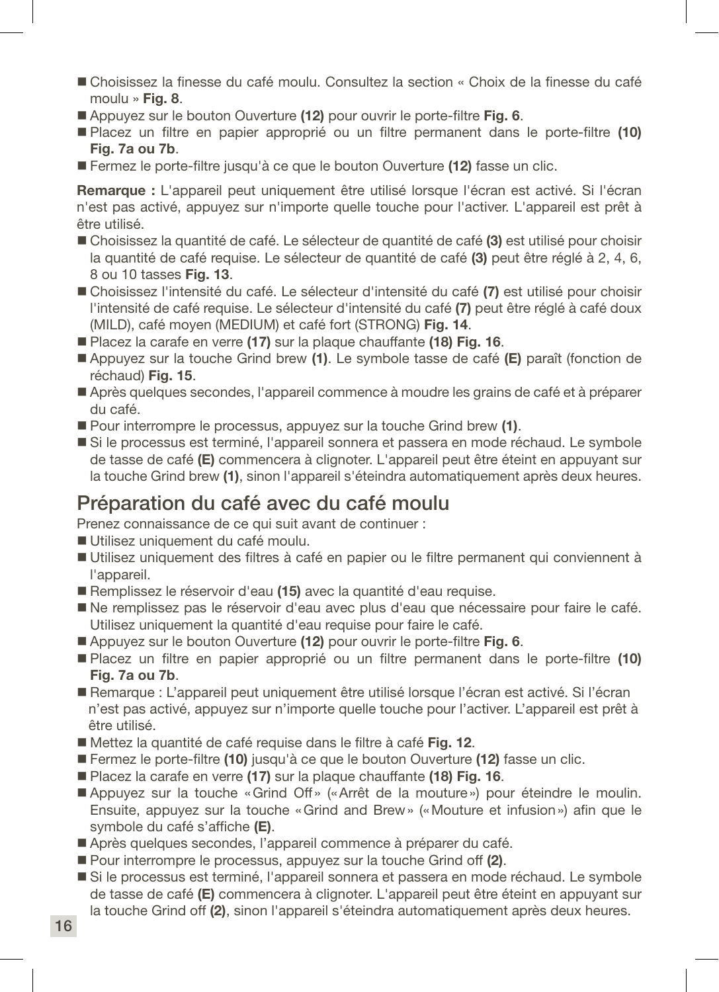- Choisissez la finesse du café moulu. Consultez la section « Choix de la finesse du café moulu » Fig. 8.
- Appuyez sur le bouton Ouverture (12) pour ouvrir le porte-filtre Fig. 6.
- Placez un filtre en papier approprié ou un filtre permanent dans le porte-filtre (10) Fig. 7a ou 7b.
- Fermez le porte-filtre jusqu'à ce que le bouton Ouverture (12) fasse un clic.

Remarque : L'appareil peut uniquement être utilisé lorsque l'écran est activé. Si l'écran n'est pas activé, appuyez sur n'importe quelle touche pour l'activer. L'appareil est prêt à être utilisé.

- Choisissez la quantité de café. Le sélecteur de quantité de café (3) est utilisé pour choisir la quantité de café requise. Le sélecteur de quantité de café (3) peut être réglé à 2, 4, 6, 8 ou 10 tasses Fig. 13.
- Choisissez l'intensité du café. Le sélecteur d'intensité du café (7) est utilisé pour choisir l'intensité de café requise. Le sélecteur d'intensité du café (7) peut être réglé à café doux (MILD), café moyen (MEDIUM) et café fort (STRONG) Fig. 14.
- Placez la carafe en verre (17) sur la plaque chauffante (18) Fig. 16.
- Appuyez sur la touche Grind brew (1). Le symbole tasse de café (E) paraît (fonction de réchaud) Fig. 15.
- Après quelques secondes, l'appareil commence à moudre les grains de café et à préparer du café.
- Pour interrompre le processus, appuyez sur la touche Grind brew (1).
- Si le processus est terminé, l'appareil sonnera et passera en mode réchaud. Le symbole de tasse de café (E) commencera à clignoter. L'appareil peut être éteint en appuyant sur la touche Grind brew (1), sinon l'appareil s'éteindra automatiquement après deux heures.

### Préparation du café avec du café moulu

Prenez connaissance de ce qui suit avant de continuer :

- Utilisez uniquement du café moulu.
- Utilisez uniquement des filtres à café en papier ou le filtre permanent qui conviennent à l'appareil.
- Remplissez le réservoir d'eau (15) avec la quantité d'eau requise.
- Ne remplissez pas le réservoir d'eau avec plus d'eau que nécessaire pour faire le café. Utilisez uniquement la quantité d'eau requise pour faire le café.
- Appuyez sur le bouton Ouverture (12) pour ouvrir le porte-filtre Fig. 6.
- Placez un filtre en papier approprié ou un filtre permanent dans le porte-filtre (10) Fig. 7a ou 7b.
- Remarque : L'appareil peut uniquement être utilisé lorsque l'écran est activé. Si l'écran n'est pas activé, appuyez sur n'importe quelle touche pour l'activer. L'appareil est prêt à être utilisé.
- Mettez la quantité de café requise dans le filtre à café Fig. 12.
- **Fermez le porte-filtre (10) jusqu'à ce que le bouton Ouverture (12) fasse un clic.**
- Placez la carafe en verre (17) sur la plaque chauffante (18) Fig. 16.
- Appuyez sur la touche «Grind Off» («Arrêt de la mouture») pour éteindre le moulin. Ensuite, appuyez sur la touche «Grind and Brew» («Mouture et infusion») afin que le symbole du café s'affiche (E).
- Après quelques secondes, l'appareil commence à préparer du café.
- Pour interrompre le processus, appuyez sur la touche Grind off (2).
- Si le processus est terminé, l'appareil sonnera et passera en mode réchaud. Le symbole de tasse de café (E) commencera à clignoter. L'appareil peut être éteint en appuyant sur la touche Grind off (2), sinon l'appareil s'éteindra automatiquement après deux heures.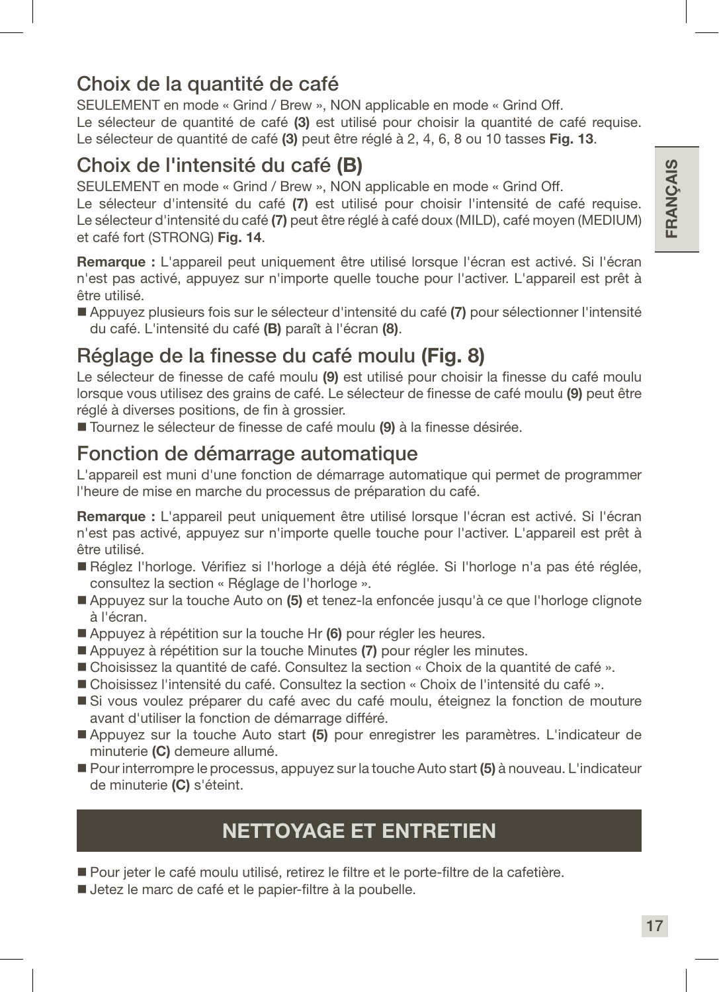### Choix de la quantité de café

SEULEMENT en mode « Grind / Brew », NON applicable en mode « Grind Off. Le sélecteur de quantité de café (3) est utilisé pour choisir la quantité de café requise. Le sélecteur de quantité de café (3) peut être réglé à 2, 4, 6, 8 ou 10 tasses Fig. 13.

### Choix de l'intensité du café (B)

SEULEMENT en mode « Grind / Brew », NON applicable en mode « Grind Off.

Le sélecteur d'intensité du café (7) est utilisé pour choisir l'intensité de café requise. Le sélecteur d'intensité du café (7) peut être réglé à café doux (MILD), café moyen (MEDIUM) et café fort (STRONG) Fig. 14.

Remarque : L'appareil peut uniquement être utilisé lorsque l'écran est activé. Si l'écran n'est pas activé, appuyez sur n'importe quelle touche pour l'activer. L'appareil est prêt à être utilisé.

Appuyez plusieurs fois sur le sélecteur d'intensité du café (7) pour sélectionner l'intensité du café. L'intensité du café (B) paraît à l'écran (8).

### Réglage de la finesse du café moulu (Fig. 8)

Le sélecteur de finesse de café moulu (9) est utilisé pour choisir la finesse du café moulu lorsque vous utilisez des grains de café. Le sélecteur de finesse de café moulu (9) peut être réglé à diverses positions, de fin à grossier.

Tournez le sélecteur de finesse de café moulu (9) à la finesse désirée.

### Fonction de démarrage automatique

L'appareil est muni d'une fonction de démarrage automatique qui permet de programmer l'heure de mise en marche du processus de préparation du café.

Remarque : L'appareil peut uniquement être utilisé lorsque l'écran est activé. Si l'écran n'est pas activé, appuyez sur n'importe quelle touche pour l'activer. L'appareil est prêt à être utilisé.

- Réglez l'horloge. Vérifiez si l'horloge a déjà été réglée. Si l'horloge n'a pas été réglée, consultez la section « Réglage de l'horloge ».
- Appuyez sur la touche Auto on (5) et tenez-la enfoncée jusqu'à ce que l'horloge clignote à l'écran.
- Appuyez à répétition sur la touche Hr (6) pour régler les heures.
- Appuyez à répétition sur la touche Minutes (7) pour régler les minutes.
- Choisissez la quantité de café. Consultez la section « Choix de la quantité de café ».
- Choisissez l'intensité du café. Consultez la section « Choix de l'intensité du café ».
- Si vous voulez préparer du café avec du café moulu, éteignez la fonction de mouture avant d'utiliser la fonction de démarrage différé.
- Appuyez sur la touche Auto start (5) pour enregistrer les paramètres. L'indicateur de minuterie (C) demeure allumé.
- Pour interrompre le processus, appuyez sur la touche Auto start (5) à nouveau. L'indicateur de minuterie (C) s'éteint.

### NETTOYAGE ET ENTRETIEN

- Pour jeter le café moulu utilisé, retirez le filtre et le porte-filtre de la cafetière.
- Jetez le marc de café et le papier-filtre à la poubelle.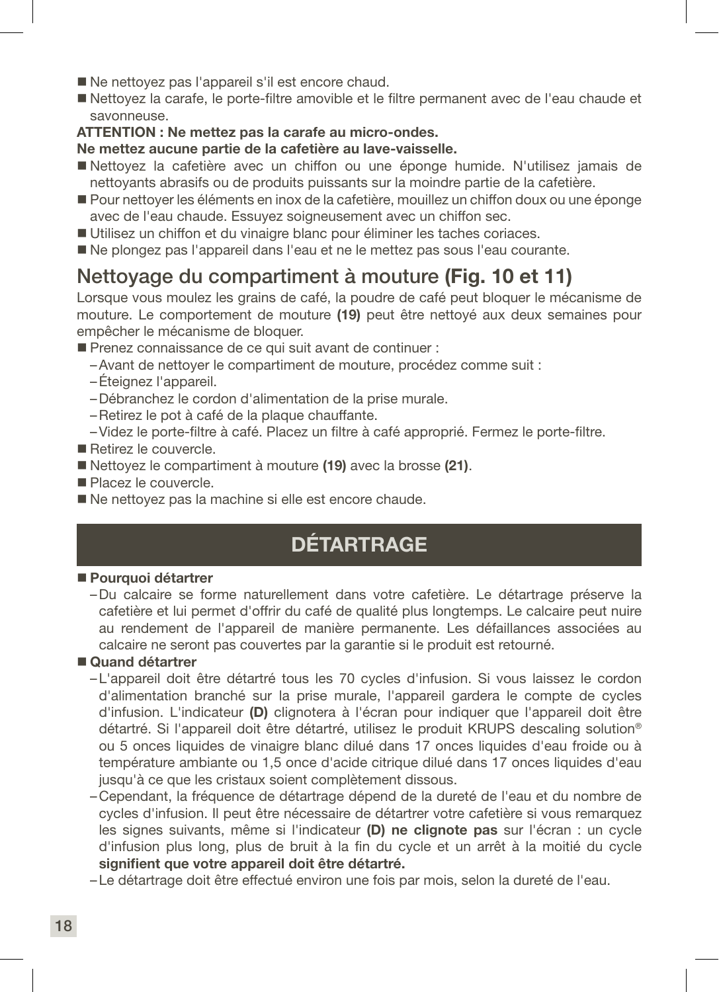- Ne nettoyez pas l'appareil s'il est encore chaud.
- Nettoyez la carafe, le porte-filtre amovible et le filtre permanent avec de l'eau chaude et savonneuse.

### ATTENTION : Ne mettez pas la carafe au micro-ondes.

### Ne mettez aucune partie de la cafetière au lave-vaisselle.

- Nettoyez la cafetière avec un chiffon ou une éponge humide. N'utilisez jamais de nettoyants abrasifs ou de produits puissants sur la moindre partie de la cafetière.
- Pour nettoyer les éléments en inox de la cafetière, mouillez un chiffon doux ou une éponge avec de l'eau chaude. Essuyez soigneusement avec un chiffon sec.
- Utilisez un chiffon et du vinaigre blanc pour éliminer les taches coriaces.
- Ne plongez pas l'appareil dans l'eau et ne le mettez pas sous l'eau courante.

### Nettoyage du compartiment à mouture (Fig. 10 et 11)

Lorsque vous moulez les grains de café, la poudre de café peut bloquer le mécanisme de mouture. Le comportement de mouture (19) peut être nettoyé aux deux semaines pour empêcher le mécanisme de bloquer.

- Prenez connaissance de ce qui suit avant de continuer :
	- –Avant de nettoyer le compartiment de mouture, procédez comme suit :
	- –Éteignez l'appareil.
	- –Débranchez le cordon d'alimentation de la prise murale.
	- –Retirez le pot à café de la plaque chauffante.
	- –Videz le porte-filtre à café. Placez un filtre à café approprié. Fermez le porte-filtre.
- **Retirez le couvercle**
- Nettoyez le compartiment à mouture (19) avec la brosse (21).
- Placez le couvercle.
- Ne nettovez pas la machine si elle est encore chaude.

# **DÉTARTRAGE**

### **Pourquoi détartrer**

–Du calcaire se forme naturellement dans votre cafetière. Le détartrage préserve la cafetière et lui permet d'offrir du café de qualité plus longtemps. Le calcaire peut nuire au rendement de l'appareil de manière permanente. Les défaillances associées au calcaire ne seront pas couvertes par la garantie si le produit est retourné.

### ■ Quand détartrer

- –L'appareil doit être détartré tous les 70 cycles d'infusion. Si vous laissez le cordon d'alimentation branché sur la prise murale, l'appareil gardera le compte de cycles d'infusion. L'indicateur (D) clignotera à l'écran pour indiquer que l'appareil doit être détartré. Si l'appareil doit être détartré, utilisez le produit KRUPS descaling solution® ou 5 onces liquides de vinaigre blanc dilué dans 17 onces liquides d'eau froide ou à température ambiante ou 1,5 once d'acide citrique dilué dans 17 onces liquides d'eau jusqu'à ce que les cristaux soient complètement dissous.
- –Cependant, la fréquence de détartrage dépend de la dureté de l'eau et du nombre de cycles d'infusion. Il peut être nécessaire de détartrer votre cafetière si vous remarquez les signes suivants, même si l'indicateur (D) ne clignote pas sur l'écran : un cycle d'infusion plus long, plus de bruit à la fin du cycle et un arrêt à la moitié du cycle signifient que votre appareil doit être détartré.
- –Le détartrage doit être effectué environ une fois par mois, selon la dureté de l'eau.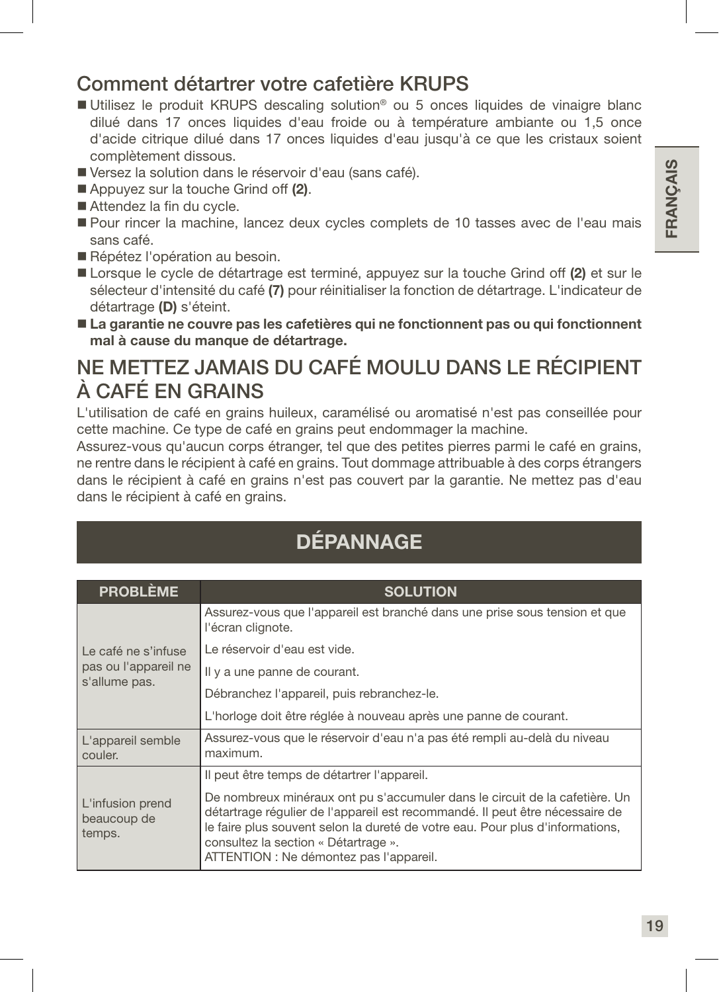### Comment détartrer votre cafetière KRUPS

- Utilisez le produit KRUPS descaling solution<sup>®</sup> ou 5 onces liquides de vinaigre blanc dilué dans 17 onces liquides d'eau froide ou à température ambiante ou 1,5 once d'acide citrique dilué dans 17 onces liquides d'eau jusqu'à ce que les cristaux soient complètement dissous.
- Versez la solution dans le réservoir d'eau (sans café).
- Appuyez sur la touche Grind off (2).
- Attendez la fin du cycle.
- Pour rincer la machine, lancez deux cycles complets de 10 tasses avec de l'eau mais sans café.
- Répétez l'opération au besoin.
- Lorsque le cycle de détartrage est terminé, appuyez sur la touche Grind off (2) et sur le sélecteur d'intensité du café (7) pour réinitialiser la fonction de détartrage. L'indicateur de détartrage (D) s'éteint.
- La garantie ne couvre pas les cafetières qui ne fonctionnent pas ou qui fonctionnent mal à cause du manque de détartrage.

### NE METTEZ JAMAIS DU CAFÉ MOULU DANS LE RÉCIPIENT À CAFÉ EN GRAINS

L'utilisation de café en grains huileux, caramélisé ou aromatisé n'est pas conseillée pour cette machine. Ce type de café en grains peut endommager la machine.

Assurez-vous qu'aucun corps étranger, tel que des petites pierres parmi le café en grains, ne rentre dans le récipient à café en grains. Tout dommage attribuable à des corps étrangers dans le récipient à café en grains n'est pas couvert par la garantie. Ne mettez pas d'eau dans le récipient à café en grains.

# DÉPANNAGE

| <b>PROBLÈME</b>                           | <b>SOLUTION</b>                                                                                                                                                                                                                                                                                                                 |
|-------------------------------------------|---------------------------------------------------------------------------------------------------------------------------------------------------------------------------------------------------------------------------------------------------------------------------------------------------------------------------------|
|                                           | Assurez-vous que l'appareil est branché dans une prise sous tension et que<br>l'écran clignote.                                                                                                                                                                                                                                 |
| Le café ne s'infuse                       | Le réservoir d'eau est vide.                                                                                                                                                                                                                                                                                                    |
| pas ou l'appareil ne<br>s'allume pas.     | Il y a une panne de courant.                                                                                                                                                                                                                                                                                                    |
|                                           | Débranchez l'appareil, puis rebranchez-le.                                                                                                                                                                                                                                                                                      |
|                                           | L'horloge doit être réglée à nouveau après une panne de courant.                                                                                                                                                                                                                                                                |
| L'appareil semble<br>couler.              | Assurez-vous que le réservoir d'eau n'a pas été rempli au-delà du niveau<br>maximum.                                                                                                                                                                                                                                            |
|                                           | Il peut être temps de détartrer l'appareil.                                                                                                                                                                                                                                                                                     |
| L'infusion prend<br>beaucoup de<br>temps. | De nombreux minéraux ont pu s'accumuler dans le circuit de la cafetière. Un<br>détartrage régulier de l'appareil est recommandé. Il peut être nécessaire de<br>le faire plus souvent selon la dureté de votre eau. Pour plus d'informations,<br>consultez la section « Détartrage ».<br>ATTENTION : Ne démontez pas l'appareil. |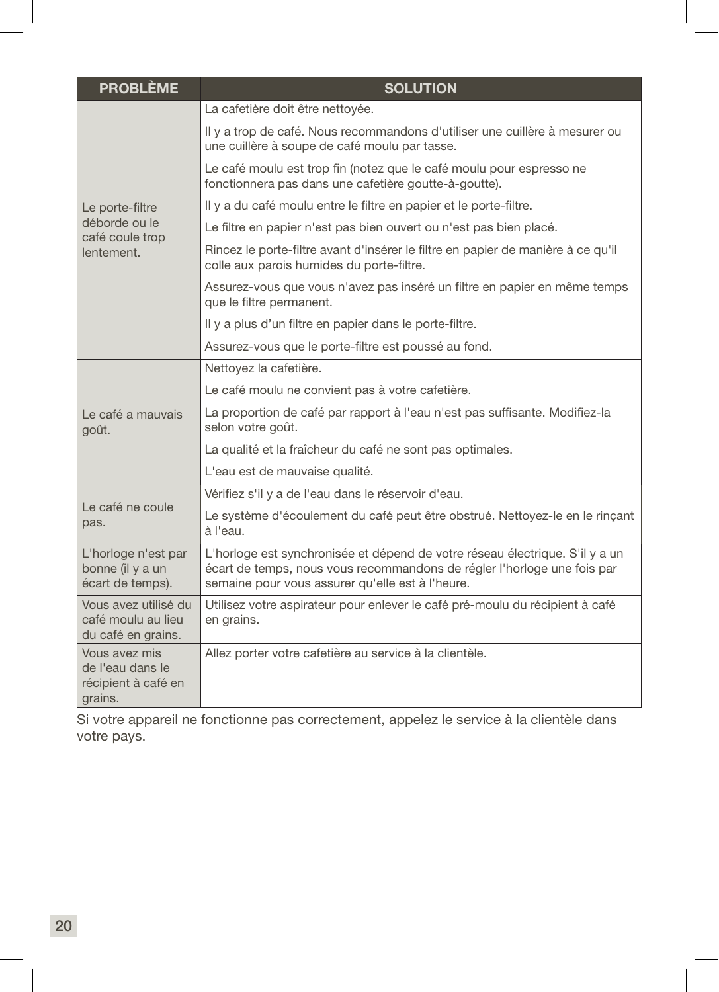| <b>PROBLÈME</b>                                                     | <b>SOLUTION</b>                                                                                                                                                                                             |
|---------------------------------------------------------------------|-------------------------------------------------------------------------------------------------------------------------------------------------------------------------------------------------------------|
|                                                                     | La cafetière doit être nettoyée.                                                                                                                                                                            |
|                                                                     | Il y a trop de café. Nous recommandons d'utiliser une cuillère à mesurer ou<br>une cuillère à soupe de café moulu par tasse.                                                                                |
|                                                                     | Le café moulu est trop fin (notez que le café moulu pour espresso ne<br>fonctionnera pas dans une cafetière goutte-à-goutte).                                                                               |
| Le porte-filtre                                                     | Il y a du café moulu entre le filtre en papier et le porte-filtre.                                                                                                                                          |
| déborde ou le<br>café coule trop                                    | Le filtre en papier n'est pas bien ouvert ou n'est pas bien placé.                                                                                                                                          |
| lentement.                                                          | Rincez le porte-filtre avant d'insérer le filtre en papier de manière à ce qu'il<br>colle aux parois humides du porte-filtre.                                                                               |
|                                                                     | Assurez-vous que vous n'avez pas inséré un filtre en papier en même temps<br>que le filtre permanent.                                                                                                       |
|                                                                     | Il y a plus d'un filtre en papier dans le porte-filtre.                                                                                                                                                     |
|                                                                     | Assurez-vous que le porte-filtre est poussé au fond.                                                                                                                                                        |
|                                                                     | Nettoyez la cafetière.                                                                                                                                                                                      |
|                                                                     | Le café moulu ne convient pas à votre cafetière.                                                                                                                                                            |
| Le café a mauvais<br>goût.                                          | La proportion de café par rapport à l'eau n'est pas suffisante. Modifiez-la<br>selon votre goût.                                                                                                            |
|                                                                     | La qualité et la fraîcheur du café ne sont pas optimales.                                                                                                                                                   |
|                                                                     | L'eau est de mauvaise qualité.                                                                                                                                                                              |
|                                                                     | Vérifiez s'il y a de l'eau dans le réservoir d'eau.                                                                                                                                                         |
| Le café ne coule<br>pas.                                            | Le système d'écoulement du café peut être obstrué. Nettoyez-le en le rinçant<br>à l'eau.                                                                                                                    |
| L'horloge n'est par<br>bonne (il y a un<br>écart de temps).         | L'horloge est synchronisée et dépend de votre réseau électrique. S'il y a un<br>écart de temps, nous vous recommandons de régler l'horloge une fois par<br>semaine pour vous assurer qu'elle est à l'heure. |
| Vous avez utilisé du<br>café moulu au lieu<br>du café en grains.    | Utilisez votre aspirateur pour enlever le café pré-moulu du récipient à café<br>en grains.                                                                                                                  |
| Vous avez mis<br>de l'eau dans le<br>récipient à café en<br>grains. | Allez porter votre cafetière au service à la clientèle.                                                                                                                                                     |

Si votre appareil ne fonctionne pas correctement, appelez le service à la clientèle dans votre pays.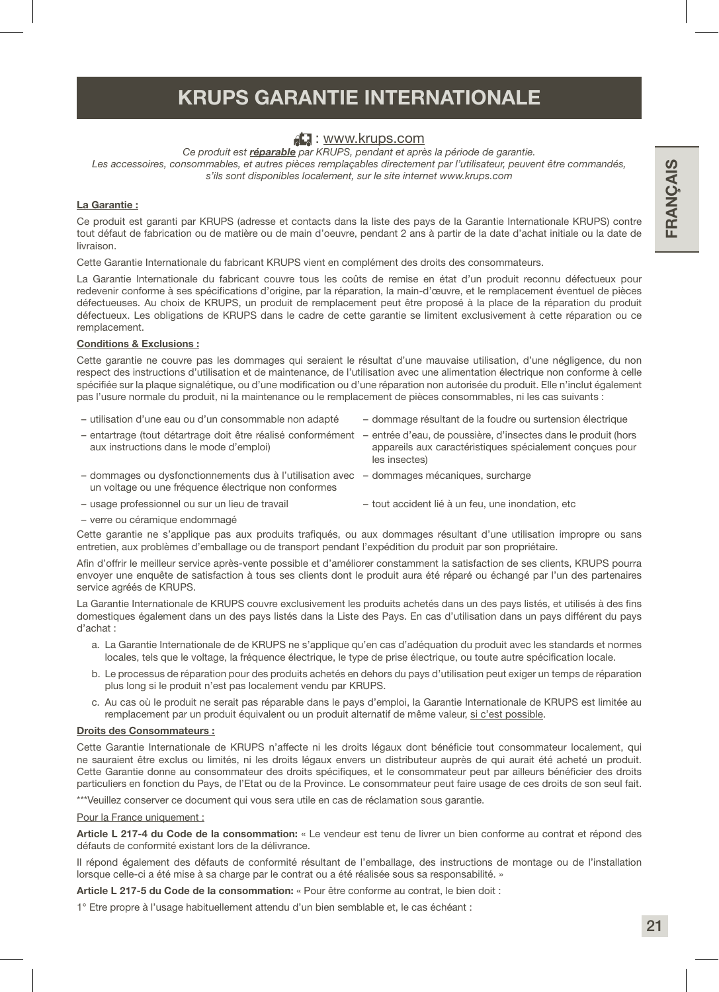### KRUPS GARANTIE INTERNATIONALE

### : www.krups.com

*Ce produit est réparable par KRUPS, pendant et après la période de garantie.* Les accessoires, consommables, et autres pièces remplaçables directement par l'utilisateur, peuvent être commandés, *s'ils sont disponibles localement, sur le site internet www.krups.com*

### La Garantie :

Ce produit est garanti par KRUPS (adresse et contacts dans la liste des pays de la Garantie Internationale KRUPS) contre tout défaut de fabrication ou de matière ou de main d'oeuvre, pendant 2 ans à partir de la date d'achat initiale ou la date de livraison.

Cette Garantie Internationale du fabricant KRUPS vient en complément des droits des consommateurs.

La Garantie Internationale du fabricant couvre tous les coûts de remise en état d'un produit reconnu défectueux pour redevenir conforme à ses spécifications d'origine, par la réparation, la main-d'œuvre, et le remplacement éventuel de pièces défectueuses. Au choix de KRUPS, un produit de remplacement peut être proposé à la place de la réparation du produit défectueux. Les obligations de KRUPS dans le cadre de cette garantie se limitent exclusivement à cette réparation ou ce remplacement.

### Conditions & Exclusions :

Cette garantie ne couvre pas les dommages qui seraient le résultat d'une mauvaise utilisation, d'une négligence, du non respect des instructions d'utilisation et de maintenance, de l'utilisation avec une alimentation électrique non conforme à celle spécifiée sur la plaque signalétique, ou d'une modification ou d'une réparation non autorisée du produit. Elle n'inclut également pas l'usure normale du produit, ni la maintenance ou le remplacement de pièces consommables, ni les cas suivants :

- utilisation d'une eau ou d'un consommable non adapté dommage résultant de la foudre ou surtension électrique
- entartrage (tout détartrage doit être réalisé conformément entrée d'eau, de poussière, d'insectes dans le produit (hors aux instructions dans le mode d'emploi) appareils aux caractéristiques spécialement conçues pour les insectes)
- dommages ou dysfonctionnements dus à l'utilisation avec dommages mécaniques, surcharge un voltage ou une fréquence électrique non conformes
- 
- usage professionnel ou sur un lieu de travail tout accident lié à un feu, une inondation, etc
- verre ou céramique endommagé

Cette garantie ne s'applique pas aux produits trafiqués, ou aux dommages résultant d'une utilisation impropre ou sans entretien, aux problèmes d'emballage ou de transport pendant l'expédition du produit par son propriétaire.

Afin d'offrir le meilleur service après-vente possible et d'améliorer constamment la satisfaction de ses clients, KRUPS pourra envoyer une enquête de satisfaction à tous ses clients dont le produit aura été réparé ou échangé par l'un des partenaires service agréés de KRUPS.

La Garantie Internationale de KRUPS couvre exclusivement les produits achetés dans un des pays listés, et utilisés à des fins domestiques également dans un des pays listés dans la Liste des Pays. En cas d'utilisation dans un pays différent du pays d'achat :

- a. La Garantie Internationale de de KRUPS ne s'applique qu'en cas d'adéquation du produit avec les standards et normes locales, tels que le voltage, la fréquence électrique, le type de prise électrique, ou toute autre spécification locale.
- b. Le processus de réparation pour des produits achetés en dehors du pays d'utilisation peut exiger un temps de réparation plus long si le produit n'est pas localement vendu par KRUPS.
- c. Au cas où le produit ne serait pas réparable dans le pays d'emploi, la Garantie Internationale de KRUPS est limitée au remplacement par un produit équivalent ou un produit alternatif de même valeur, si c'est possible.

### Droits des Consommateurs :

Cette Garantie Internationale de KRUPS n'affecte ni les droits légaux dont bénéficie tout consommateur localement, qui ne sauraient être exclus ou limités, ni les droits légaux envers un distributeur auprès de qui aurait été acheté un produit. Cette Garantie donne au consommateur des droits spécifiques, et le consommateur peut par ailleurs bénéficier des droits particuliers en fonction du Pays, de l'Etat ou de la Province. Le consommateur peut faire usage de ces droits de son seul fait.

\*\*\*Veuillez conserver ce document qui vous sera utile en cas de réclamation sous garantie.

Pour la France uniquement :

Article L 217-4 du Code de la consommation: « Le vendeur est tenu de livrer un bien conforme au contrat et répond des défauts de conformité existant lors de la délivrance.

Il répond également des défauts de conformité résultant de l'emballage, des instructions de montage ou de l'installation lorsque celle-ci a été mise à sa charge par le contrat ou a été réalisée sous sa responsabilité. »

Article L 217-5 du Code de la consommation: « Pour être conforme au contrat, le bien doit :

1° Etre propre à l'usage habituellement attendu d'un bien semblable et, le cas échéant :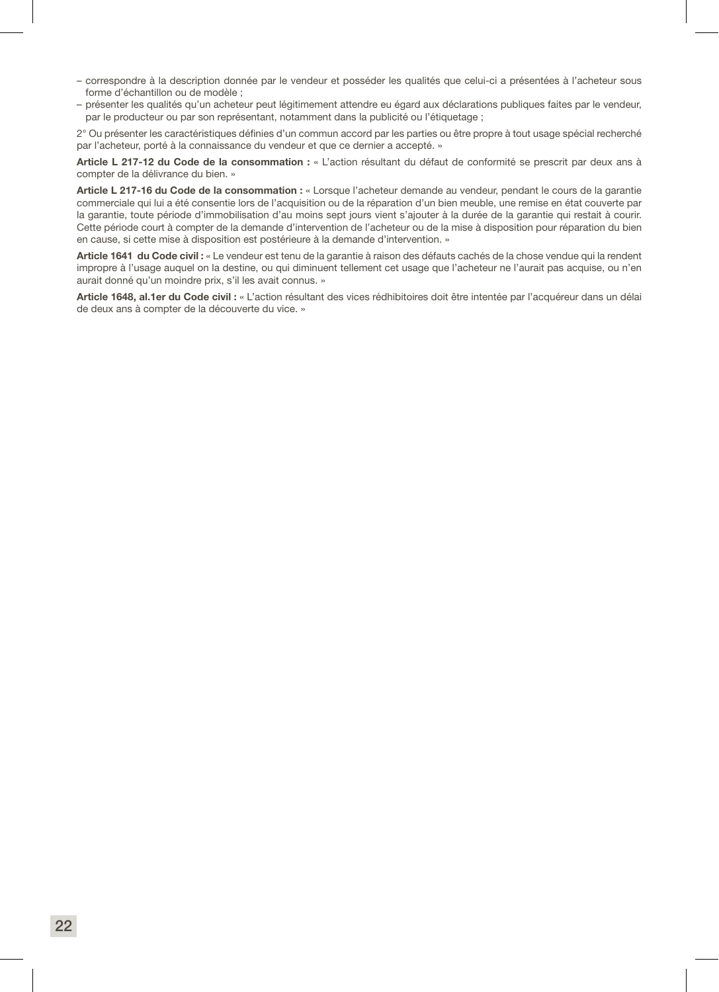- correspondre à la description donnée par le vendeur et posséder les qualités que celui-ci a présentées à l'acheteur sous forme d'échantillon ou de modèle ;
- présenter les qualités qu'un acheteur peut légitimement attendre eu égard aux déclarations publiques faites par le vendeur, par le producteur ou par son représentant, notamment dans la publicité ou l'étiquetage ;

2° Ou présenter les caractéristiques définies d'un commun accord par les parties ou être propre à tout usage spécial recherché par l'acheteur, porté à la connaissance du vendeur et que ce dernier a accepté. »

Article L 217-12 du Code de la consommation : « L'action résultant du défaut de conformité se prescrit par deux ans à compter de la délivrance du bien. »

Article L 217-16 du Code de la consommation : « Lorsque l'acheteur demande au vendeur, pendant le cours de la garantie commerciale qui lui a été consentie lors de l'acquisition ou de la réparation d'un bien meuble, une remise en état couverte par la garantie, toute période d'immobilisation d'au moins sept jours vient s'ajouter à la durée de la garantie qui restait à courir. Cette période court à compter de la demande d'intervention de l'acheteur ou de la mise à disposition pour réparation du bien en cause, si cette mise à disposition est postérieure à la demande d'intervention. »

Article 1641 du Code civil : « Le vendeur est tenu de la garantie à raison des défauts cachés de la chose vendue qui la rendent impropre à l'usage auquel on la destine, ou qui diminuent tellement cet usage que l'acheteur ne l'aurait pas acquise, ou n'en aurait donné qu'un moindre prix, s'il les avait connus. »

Article 1648, al.1er du Code civil : « L'action résultant des vices rédhibitoires doit être intentée par l'acquéreur dans un délai de deux ans à compter de la découverte du vice. »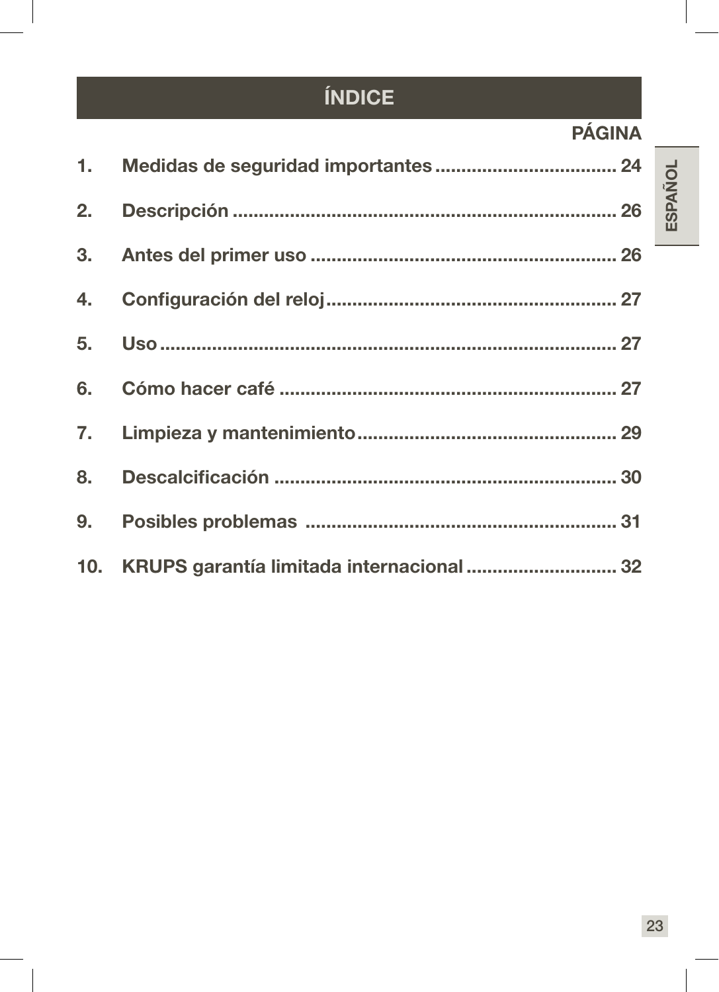# ÍNDICE

# PÁGINA

| 10. KRUPS garantía limitada internacional  32 |  |
|-----------------------------------------------|--|

**ESPAÑOL**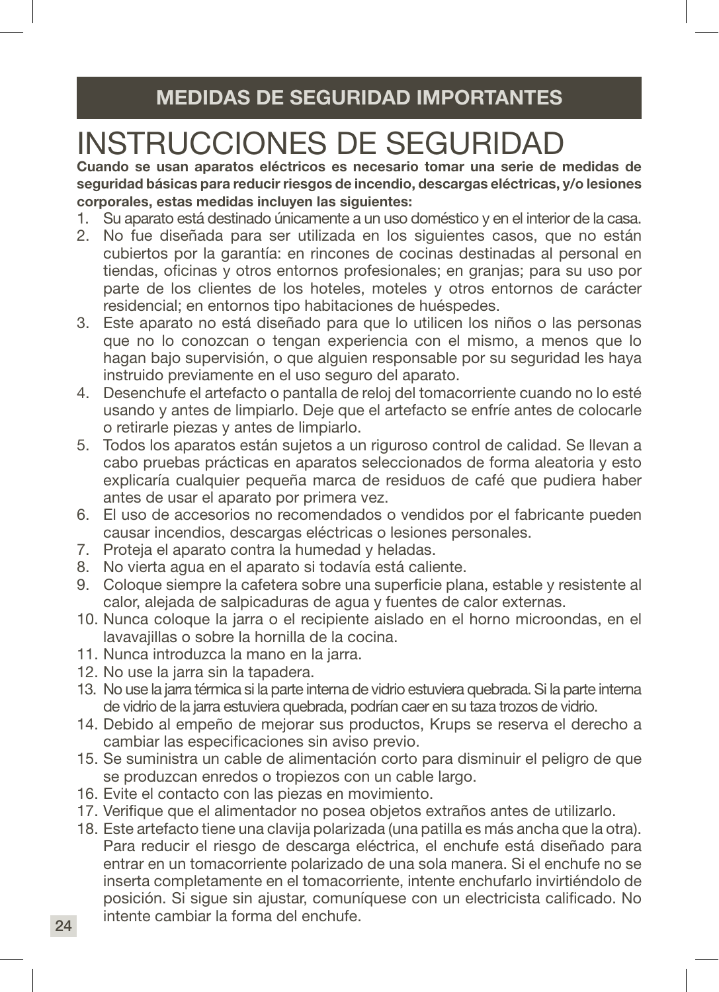# INSTRUCCIONES DE SEGURIDAD

Cuando se usan aparatos eléctricos es necesario tomar una serie de medidas de seguridad básicas para reducir riesgos de incendio, descargas eléctricas, y/o lesiones corporales, estas medidas incluyen las siguientes:

- 1. Su aparato está destinado únicamente a un uso doméstico y en el interior de la casa.
- 2. No fue diseñada para ser utilizada en los siguientes casos, que no están cubiertos por la garantía: en rincones de cocinas destinadas al personal en tiendas, oficinas y otros entornos profesionales; en granjas; para su uso por parte de los clientes de los hoteles, moteles y otros entornos de carácter residencial; en entornos tipo habitaciones de huéspedes.
- 3. Este aparato no está diseñado para que lo utilicen los niños o las personas que no lo conozcan o tengan experiencia con el mismo, a menos que lo hagan bajo supervisión, o que alguien responsable por su seguridad les haya instruido previamente en el uso seguro del aparato.
- 4. Desenchufe el artefacto o pantalla de reloj del tomacorriente cuando no lo esté usando y antes de limpiarlo. Deje que el artefacto se enfríe antes de colocarle o retirarle piezas y antes de limpiarlo.
- 5. Todos los aparatos están sujetos a un riguroso control de calidad. Se llevan a cabo pruebas prácticas en aparatos seleccionados de forma aleatoria y esto explicaría cualquier pequeña marca de residuos de café que pudiera haber antes de usar el aparato por primera vez.
- 6. El uso de accesorios no recomendados o vendidos por el fabricante pueden causar incendios, descargas eléctricas o lesiones personales.
- 7. Proteja el aparato contra la humedad y heladas.
- 8. No vierta agua en el aparato si todavía está caliente.
- 9. Coloque siempre la cafetera sobre una superficie plana, estable y resistente al calor, alejada de salpicaduras de agua y fuentes de calor externas.
- 10. Nunca coloque la jarra o el recipiente aislado en el horno microondas, en el lavavajillas o sobre la hornilla de la cocina.
- 11. Nunca introduzca la mano en la jarra.
- 12. No use la jarra sin la tapadera.
- 13. No use la jarra térmica si la parte interna de vidrio estuviera quebrada. Si la parte interna de vidrio de la jarra estuviera quebrada, podrían caer en su taza trozos de vidrio.
- 14. Debido al empeño de mejorar sus productos, Krups se reserva el derecho a cambiar las especificaciones sin aviso previo.
- 15. Se suministra un cable de alimentación corto para disminuir el peligro de que se produzcan enredos o tropiezos con un cable largo.
- 16. Evite el contacto con las piezas en movimiento.
- 17. Verifique que el alimentador no posea objetos extraños antes de utilizarlo.
- 18. Este artefacto tiene una clavija polarizada (una patilla es más ancha que la otra). Para reducir el riesgo de descarga eléctrica, el enchufe está diseñado para entrar en un tomacorriente polarizado de una sola manera. Si el enchufe no se inserta completamente en el tomacorriente, intente enchufarlo invirtiéndolo de posición. Si sigue sin ajustar, comuníquese con un electricista calificado. No intente cambiar la forma del enchufe.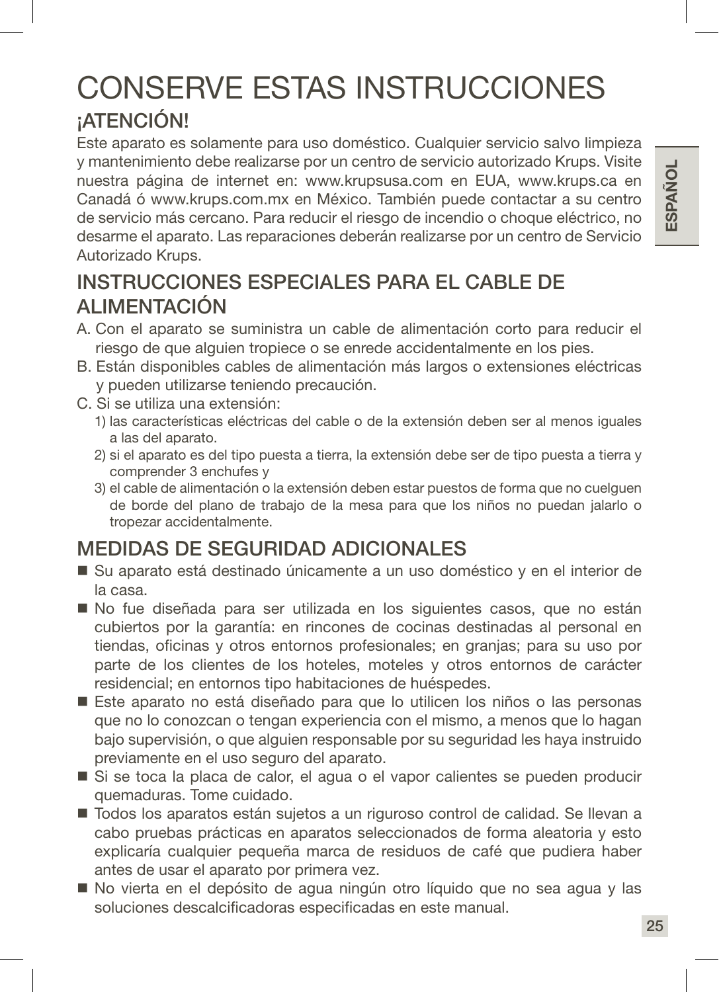# ESPAÑOL 25 ESPAÑOL

# CONSERVE ESTAS INSTRUCCIONES

# **ATENCIÓN!**

Este aparato es solamente para uso doméstico. Cualquier servicio salvo limpieza y mantenimiento debe realizarse por un centro de servicio autorizado Krups. Visite nuestra página de internet en: www.krupsusa.com en EUA, www.krups.ca en Canadá ó www.krups.com.mx en México. También puede contactar a su centro de servicio más cercano. Para reducir el riesgo de incendio o choque eléctrico, no desarme el aparato. Las reparaciones deberán realizarse por un centro de Servicio Autorizado Krups.

### INSTRUCCIONES ESPECIALES PARA EL CABLE DE ALIMENTACIÓN

- A. Con el aparato se suministra un cable de alimentación corto para reducir el riesgo de que alguien tropiece o se enrede accidentalmente en los pies.
- B. Están disponibles cables de alimentación más largos o extensiones eléctricas y pueden utilizarse teniendo precaución.
- C. Si se utiliza una extensión:
	- 1) las características eléctricas del cable o de la extensión deben ser al menos iguales a las del aparato.
	- 2) si el aparato es del tipo puesta a tierra, la extensión debe ser de tipo puesta a tierra y comprender 3 enchufes y
	- 3) el cable de alimentación o la extensión deben estar puestos de forma que no cuelguen de borde del plano de trabajo de la mesa para que los niños no puedan jalarlo o tropezar accidentalmente.

# MEDIDAS DE SEGURIDAD ADICIONALES

- Su aparato está destinado únicamente a un uso doméstico y en el interior de la casa.
- No fue diseñada para ser utilizada en los siguientes casos, que no están cubiertos por la garantía: en rincones de cocinas destinadas al personal en tiendas, oficinas y otros entornos profesionales; en granjas; para su uso por parte de los clientes de los hoteles, moteles y otros entornos de carácter residencial; en entornos tipo habitaciones de huéspedes.
- Este aparato no está diseñado para que lo utilicen los niños o las personas que no lo conozcan o tengan experiencia con el mismo, a menos que lo hagan bajo supervisión, o que alguien responsable por su seguridad les haya instruido previamente en el uso seguro del aparato.
- Si se toca la placa de calor, el agua o el vapor calientes se pueden producir quemaduras. Tome cuidado.
- Todos los aparatos están sujetos a un riguroso control de calidad. Se llevan a cabo pruebas prácticas en aparatos seleccionados de forma aleatoria y esto explicaría cualquier pequeña marca de residuos de café que pudiera haber antes de usar el aparato por primera vez.
- No vierta en el depósito de agua ningún otro líquido que no sea agua y las soluciones descalcificadoras especificadas en este manual.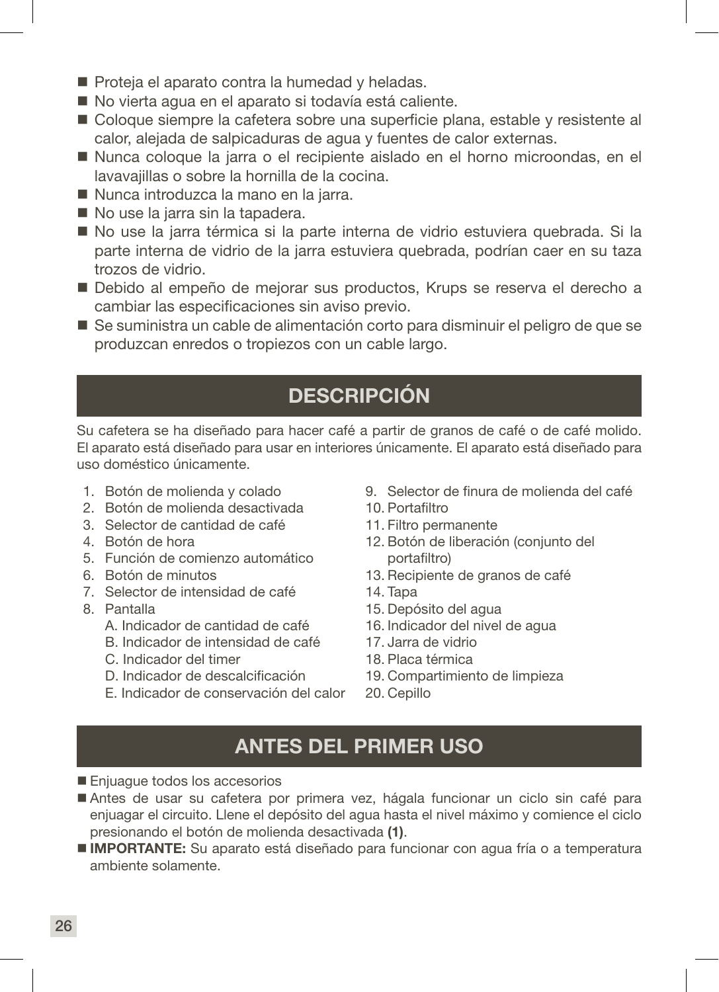- Proteia el aparato contra la humedad y heladas.
- No vierta agua en el aparato si todavía está caliente.
- Coloque siempre la cafetera sobre una superficie plana, estable y resistente al calor, alejada de salpicaduras de agua y fuentes de calor externas.
- Nunca coloque la jarra o el recipiente aislado en el horno microondas, en el lavavajillas o sobre la hornilla de la cocina.
- Nunca introduzca la mano en la jarra.
- No use la jarra sin la tapadera.
- No use la jarra térmica si la parte interna de vidrio estuviera quebrada. Si la parte interna de vidrio de la jarra estuviera quebrada, podrían caer en su taza trozos de vidrio.
- Debido al empeño de mejorar sus productos, Krups se reserva el derecho a cambiar las especificaciones sin aviso previo.
- Se suministra un cable de alimentación corto para disminuir el peligro de que se produzcan enredos o tropiezos con un cable largo.

# DESCRIPCIÓN

Su cafetera se ha diseñado para hacer café a partir de granos de café o de café molido. El aparato está diseñado para usar en interiores únicamente. El aparato está diseñado para uso doméstico únicamente.

- 1. Botón de molienda y colado
- 2. Botón de molienda desactivada
- 3. Selector de cantidad de café
- 4. Botón de hora
- 5. Función de comienzo automático
- 6. Botón de minutos
- 7. Selector de intensidad de café
- 8. Pantalla
	- A. Indicador de cantidad de café
	- B. Indicador de intensidad de café
	- C. Indicador del timer
	- D. Indicador de descalcificación
	- E. Indicador de conservación del calor
- 9. Selector de finura de molienda del café
- 10. Portafiltro
- 11. Filtro permanente
- 12. Botón de liberación (conjunto del portafiltro)
- 13. Recipiente de granos de café
- 14. Tapa
- 15. Depósito del agua
- 16. Indicador del nivel de agua
- 17. Jarra de vidrio
- 18. Placa térmica
- 19. Compartimiento de limpieza
- 20. Cepillo

### ANTES DEL PRIMER USO

- Enjuague todos los accesorios
- Antes de usar su cafetera por primera vez, hágala funcionar un ciclo sin café para enjuagar el circuito. Llene el depósito del agua hasta el nivel máximo y comience el ciclo presionando el botón de molienda desactivada (1).
- **IMPORTANTE:** Su aparato está diseñado para funcionar con agua fría o a temperatura ambiente solamente.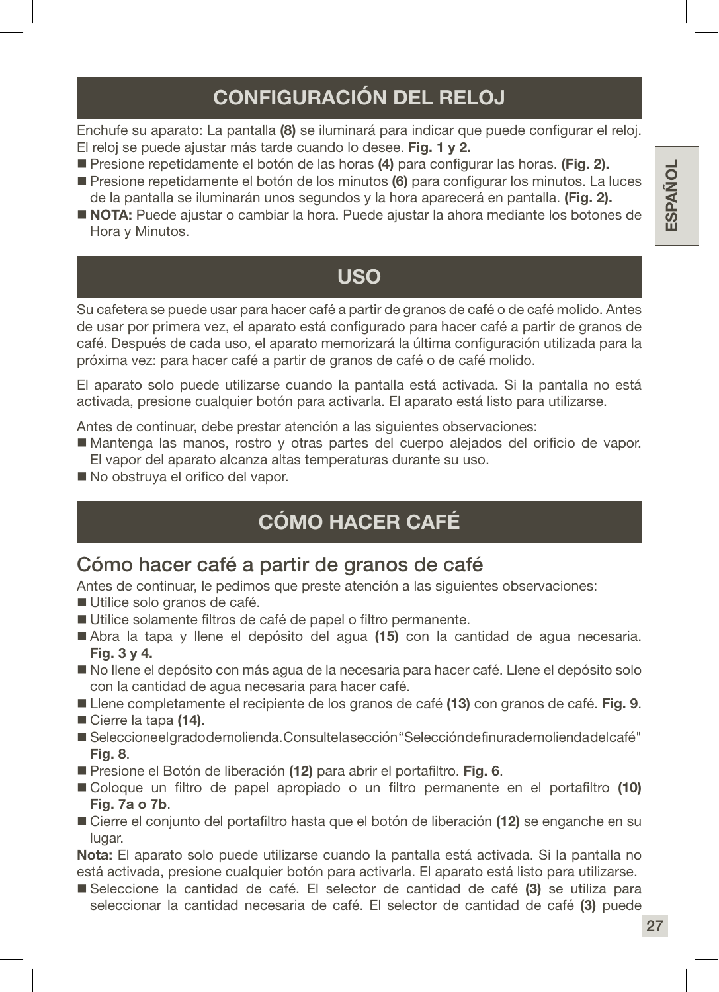# CONFIGURACIÓN DEL RELOJ

Enchufe su aparato: La pantalla (8) se iluminará para indicar que puede configurar el reloj. El reloj se puede ajustar más tarde cuando lo desee. Fig. 1 y 2.

- Presione repetidamente el botón de las horas (4) para configurar las horas. (Fig. 2).
- **Presione repetidamente el botón de los minutos (6) para configurar los minutos. La luces** de la pantalla se iluminarán unos segundos y la hora aparecerá en pantalla. (Fig. 2).
- NOTA: Puede ajustar o cambiar la hora. Puede ajustar la ahora mediante los botones de Hora y Minutos.

### USO

Su cafetera se puede usar para hacer café a partir de granos de café o de café molido. Antes de usar por primera vez, el aparato está configurado para hacer café a partir de granos de café. Después de cada uso, el aparato memorizará la última configuración utilizada para la próxima vez: para hacer café a partir de granos de café o de café molido.

El aparato solo puede utilizarse cuando la pantalla está activada. Si la pantalla no está activada, presione cualquier botón para activarla. El aparato está listo para utilizarse.

Antes de continuar, debe prestar atención a las siguientes observaciones:

- Mantenga las manos, rostro y otras partes del cuerpo alejados del orificio de vapor. El vapor del aparato alcanza altas temperaturas durante su uso.
- No obstruya el orifico del vapor.

# CÓMO HACER CAFÉ

### Cómo hacer café a partir de granos de café

Antes de continuar, le pedimos que preste atención a las siguientes observaciones:

- Utilice solo granos de café.
- Utilice solamente filtros de café de papel o filtro permanente.
- Abra la tapa y llene el depósito del agua (15) con la cantidad de agua necesaria. Fig. 3 y 4.
- No llene el depósito con más agua de la necesaria para hacer café. Llene el depósito solo con la cantidad de agua necesaria para hacer café.
- Llene completamente el recipiente de los granos de café (13) con granos de café. Fig. 9.
- Cierre la tapa (14).
- Seleccione el grado de molienda. Consulte la sección "Selección de finura de molienda del café" Fig. 8.
- Presione el Botón de liberación (12) para abrir el portafiltro. Fig. 6.
- Coloque un filtro de papel apropiado o un filtro permanente en el portafiltro (10) Fig. 7a o 7b.
- Cierre el conjunto del portafiltro hasta que el botón de liberación (12) se enganche en su lugar.

Nota: El aparato solo puede utilizarse cuando la pantalla está activada. Si la pantalla no está activada, presione cualquier botón para activarla. El aparato está listo para utilizarse.

Seleccione la cantidad de café. El selector de cantidad de café (3) se utiliza para seleccionar la cantidad necesaria de café. El selector de cantidad de café (3) puede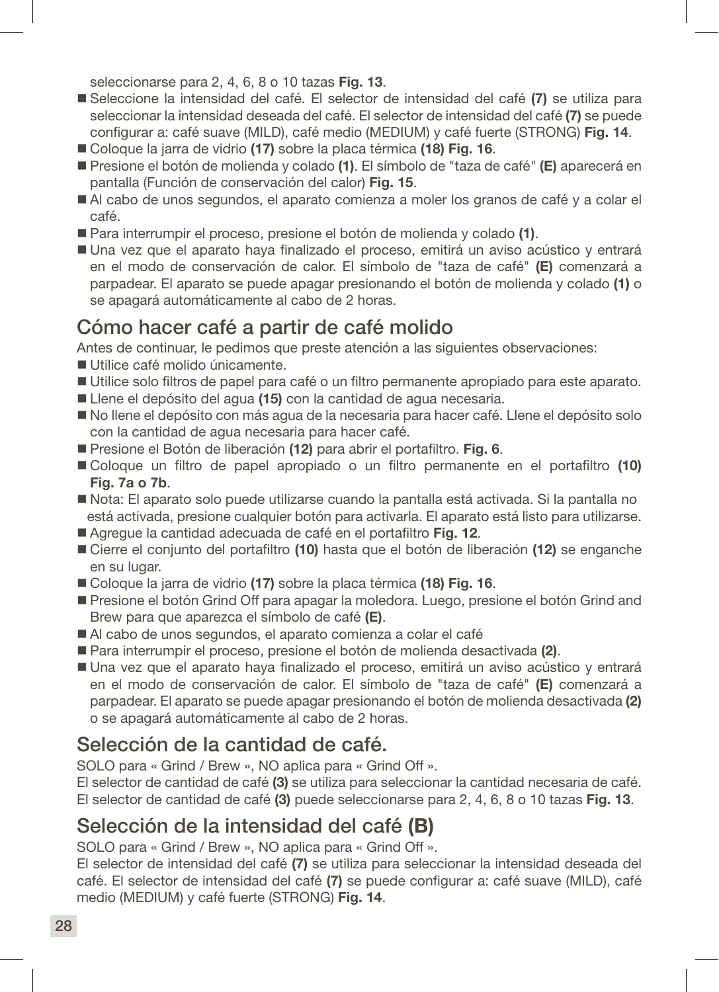seleccionarse para 2, 4, 6, 8 o 10 tazas Fig. 13.

- Seleccione la intensidad del café. El selector de intensidad del café (7) se utiliza para seleccionar la intensidad deseada del café. El selector de intensidad del café (7) se puede configurar a: café suave (MILD), café medio (MEDIUM) y café fuerte (STRONG) Fig. 14.
- Coloque la jarra de vidrio (17) sobre la placa térmica (18) Fig. 16.
- Presione el botón de molienda y colado (1). El símbolo de "taza de café" (E) aparecerá en pantalla (Función de conservación del calor) Fig. 15.
- Al cabo de unos segundos, el aparato comienza a moler los granos de café y a colar el café.
- Para interrumpir el proceso, presione el botón de molienda y colado (1).
- Una vez que el aparato haya finalizado el proceso, emitirá un aviso acústico y entrará en el modo de conservación de calor. El símbolo de "taza de café" (E) comenzará a parpadear. El aparato se puede apagar presionando el botón de molienda y colado (1) o se apagará automáticamente al cabo de 2 horas.

### Cómo hacer café a partir de café molido

Antes de continuar, le pedimos que preste atención a las siguientes observaciones:

- Utilice café molido únicamente.
- Utilice solo filtros de papel para café o un filtro permanente apropiado para este aparato.
- Llene el depósito del agua (15) con la cantidad de agua necesaria.
- No llene el depósito con más agua de la necesaria para hacer café. Llene el depósito solo con la cantidad de agua necesaria para hacer café.
- Presione el Botón de liberación (12) para abrir el portafiltro. Fig. 6.
- Coloque un filtro de papel apropiado o un filtro permanente en el portafiltro (10) Fig. 7a o 7b.
- Nota: El aparato solo puede utilizarse cuando la pantalla está activada. Si la pantalla no está activada, presione cualquier botón para activarla. El aparato está listo para utilizarse.
- Agregue la cantidad adecuada de café en el portafiltro Fig. 12.
- Cierre el conjunto del portafiltro (10) hasta que el botón de liberación (12) se enganche en su lugar.
- Coloque la jarra de vidrio (17) sobre la placa térmica (18) Fig. 16.
- Presione el botón Grind Off para apagar la moledora. Luego, presione el botón Grind and Brew para que aparezca el símbolo de café (E).
- Al cabo de unos segundos, el aparato comienza a colar el café
- Para interrumpir el proceso, presione el botón de molienda desactivada (2).
- Una vez que el aparato haya finalizado el proceso, emitirá un aviso acústico y entrará en el modo de conservación de calor. El símbolo de "taza de café" (E) comenzará a parpadear. El aparato se puede apagar presionando el botón de molienda desactivada (2) o se apagará automáticamente al cabo de 2 horas.

### Selección de la cantidad de café.

SOLO para « Grind / Brew », NO aplica para « Grind Off ».

El selector de cantidad de café (3) se utiliza para seleccionar la cantidad necesaria de café. El selector de cantidad de café (3) puede seleccionarse para 2, 4, 6, 8 o 10 tazas Fig. 13.

### Selección de la intensidad del café (B)

SOLO para « Grind / Brew », NO aplica para « Grind Off ».

El selector de intensidad del café (7) se utiliza para seleccionar la intensidad deseada del café. El selector de intensidad del café (7) se puede configurar a: café suave (MILD), café medio (MEDIUM) y café fuerte (STRONG) Fig. 14.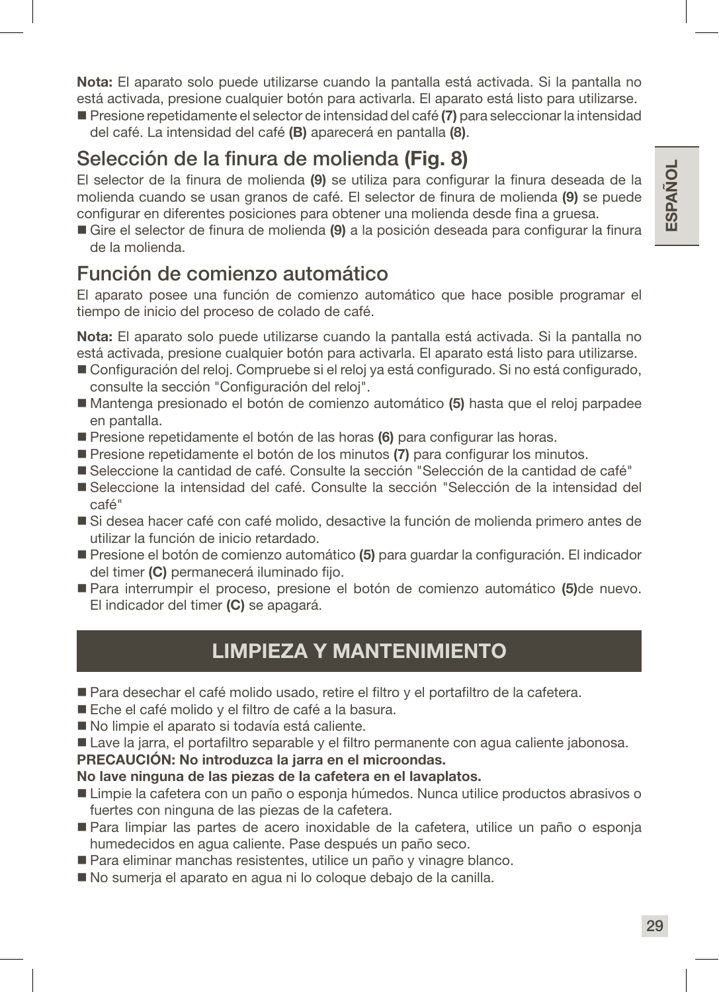Nota: El aparato solo puede utilizarse cuando la pantalla está activada. Si la pantalla no está activada, presione cualquier botón para activarla. El aparato está listo para utilizarse.

Presione repetidamente el selector de intensidad del café (7) para seleccionar la intensidad del café. La intensidad del café (B) aparecerá en pantalla (8).

### Selección de la finura de molienda (Fig. 8)

El selector de la finura de molienda (9) se utiliza para configurar la finura deseada de la molienda cuando se usan granos de café. El selector de finura de molienda (9) se puede configurar en diferentes posiciones para obtener una molienda desde fina a gruesa.

Gire el selector de finura de molienda (9) a la posición deseada para configurar la finura de la molienda.

### Función de comienzo automático

El aparato posee una función de comienzo automático que hace posible programar el tiempo de inicio del proceso de colado de café.

Nota: El aparato solo puede utilizarse cuando la pantalla está activada. Si la pantalla no está activada, presione cualquier botón para activarla. El aparato está listo para utilizarse.

- Configuración del reloj. Compruebe si el reloj ya está configurado. Si no está configurado, consulte la sección "Configuración del reloj".
- Mantenga presionado el botón de comienzo automático (5) hasta que el reloj parpadee en pantalla.
- Presione repetidamente el botón de las horas (6) para configurar las horas.
- **Presione repetidamente el botón de los minutos (7) para configurar los minutos.**
- Seleccione la cantidad de café. Consulte la sección "Selección de la cantidad de café"
- Seleccione la intensidad del café. Consulte la sección "Selección de la intensidad del café"
- Si desea hacer café con café molido, desactive la función de molienda primero antes de utilizar la función de inicio retardado.
- Presione el botón de comienzo automático (5) para quardar la configuración. El indicador del timer (C) permanecerá iluminado fijo.
- Para interrumpir el proceso, presione el botón de comienzo automático (5)de nuevo. El indicador del timer (C) se apagará.

### LIMPIEZA Y MANTENIMIENTO

- Para desechar el café molido usado, retire el filtro y el portafiltro de la cafetera.
- Eche el café molido y el filtro de café a la basura.
- No limpie el aparato si todavía está caliente.
- Lave la jarra, el portafiltro separable y el filtro permanente con agua caliente jabonosa.

### PRECAUCIÓN: No introduzca la jarra en el microondas.

### No lave ninguna de las piezas de la cafetera en el lavaplatos.

- Limpie la cafetera con un paño o esponja húmedos. Nunca utilice productos abrasivos o fuertes con ninguna de las piezas de la cafetera.
- Para limpiar las partes de acero inoxidable de la cafetera, utilice un paño o esponja humedecidos en agua caliente. Pase después un paño seco.
- Para eliminar manchas resistentes, utilice un paño y vinagre blanco.
- No sumerja el aparato en agua ni lo coloque debajo de la canilla.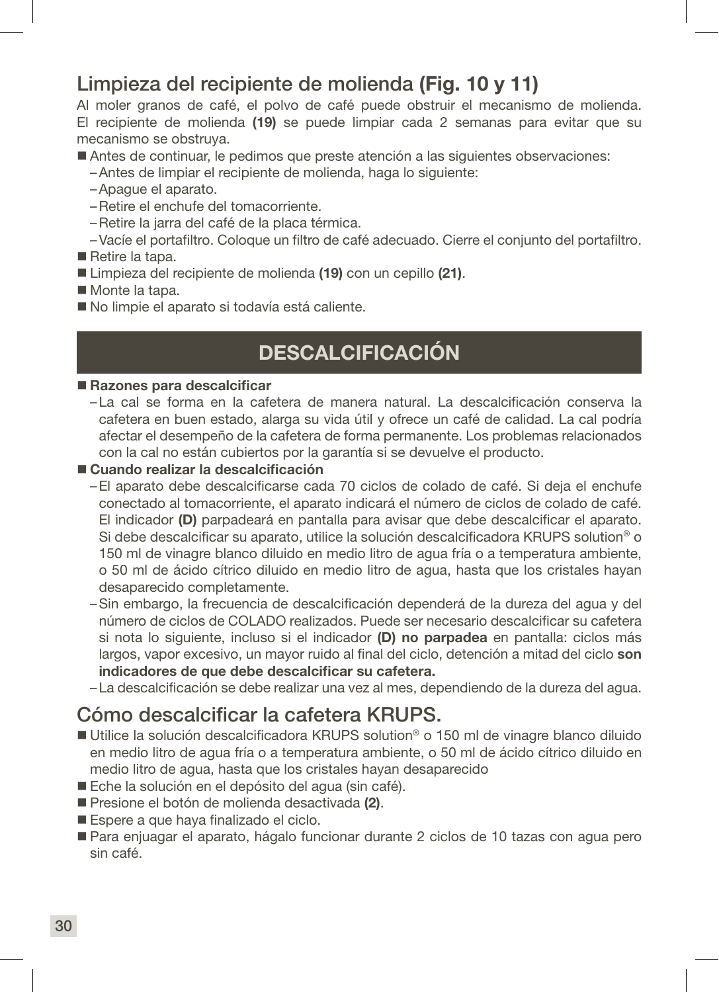### Limpieza del recipiente de molienda (Fig. 10 y 11)

Al moler granos de café, el polvo de café puede obstruir el mecanismo de molienda. El recipiente de molienda (19) se puede limpiar cada 2 semanas para evitar que su mecanismo se obstruya.

- Antes de continuar, le pedimos que preste atención a las siguientes observaciones:
	- –Antes de limpiar el recipiente de molienda, haga lo siguiente:
	- –Apague el aparato.
	- –Retire el enchufe del tomacorriente.
	- –Retire la jarra del café de la placa térmica.
	- –Vacíe el portafiltro. Coloque un filtro de café adecuado. Cierre el conjunto del portafiltro.
- Retire la tapa.
- Limpieza del recipiente de molienda (19) con un cepillo (21).
- Monte la tapa.
- No limpie el aparato si todavía está caliente.

### **DESCALCIFICACIÓN**

### ■ Razones para descalcificar

–La cal se forma en la cafetera de manera natural. La descalcificación conserva la cafetera en buen estado, alarga su vida útil y ofrece un café de calidad. La cal podría afectar el desempeño de la cafetera de forma permanente. Los problemas relacionados con la cal no están cubiertos por la garantía si se devuelve el producto.

### ■ Cuando realizar la descalcificación

- –El aparato debe descalcificarse cada 70 ciclos de colado de café. Si deja el enchufe conectado al tomacorriente, el aparato indicará el número de ciclos de colado de café. El indicador (D) parpadeará en pantalla para avisar que debe descalcificar el aparato. Si debe descalcificar su aparato, utilice la solución descalcificadora KRUPS solution® o 150 ml de vinagre blanco diluido en medio litro de agua fría o a temperatura ambiente, o 50 ml de ácido cítrico diluido en medio litro de agua, hasta que los cristales hayan desaparecido completamente.
- –Sin embargo, la frecuencia de descalcificación dependerá de la dureza del agua y del número de ciclos de COLADO realizados. Puede ser necesario descalcificar su cafetera si nota lo siguiente, incluso si el indicador (D) no parpadea en pantalla: ciclos más largos, vapor excesivo, un mayor ruido al final del ciclo, detención a mitad del ciclo son indicadores de que debe descalcificar su cafetera.
- –La descalcificación se debe realizar una vez al mes, dependiendo de la dureza del agua.

### Cómo descalcificar la cafetera KRUPS.

- Utilice la solución descalcificadora KRUPS solution® o 150 ml de vinagre blanco diluido en medio litro de agua fría o a temperatura ambiente, o 50 ml de ácido cítrico diluido en medio litro de agua, hasta que los cristales hayan desaparecido
- Eche la solución en el depósito del agua (sin café).
- Presione el botón de molienda desactivada (2).
- Espere a que hava finalizado el ciclo.
- Para enjuagar el aparato, hágalo funcionar durante 2 ciclos de 10 tazas con agua pero sin café.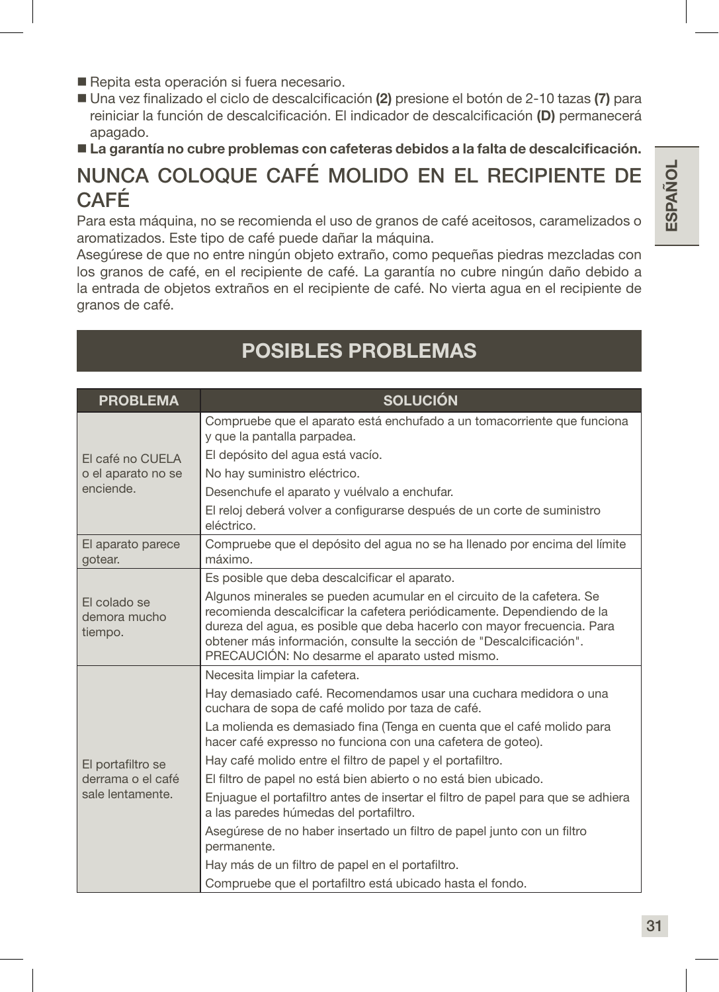- Repita esta operación si fuera necesario.
- Una vez finalizado el ciclo de descalcificación (2) presione el botón de 2-10 tazas (7) para reiniciar la función de descalcificación. El indicador de descalcificación (D) permanecerá apagado.
- La garantía no cubre problemas con cafeteras debidos a la falta de descalcificación.

### NUNCA COLOQUE CAFÉ MOLIDO EN EL RECIPIENTE DE CAFÉ

Para esta máquina, no se recomienda el uso de granos de café aceitosos, caramelizados o aromatizados. Este tipo de café puede dañar la máquina.

Asegúrese de que no entre ningún objeto extraño, como pequeñas piedras mezcladas con los granos de café, en el recipiente de café. La garantía no cubre ningún daño debido a la entrada de objetos extraños en el recipiente de café. No vierta agua en el recipiente de granos de café.

### POSIBLES PROBLEMAS

| <b>PROBLEMA</b>                         | <b>SOLUCIÓN</b>                                                                                                                                                                                                                                                                                                                                      |
|-----------------------------------------|------------------------------------------------------------------------------------------------------------------------------------------------------------------------------------------------------------------------------------------------------------------------------------------------------------------------------------------------------|
|                                         | Compruebe que el aparato está enchufado a un tomacorriente que funciona<br>y que la pantalla parpadea.                                                                                                                                                                                                                                               |
| El café no CUELA                        | El depósito del agua está vacío.                                                                                                                                                                                                                                                                                                                     |
| o el aparato no se                      | No hay suministro eléctrico.                                                                                                                                                                                                                                                                                                                         |
| enciende.                               | Desenchufe el aparato y vuélvalo a enchufar.                                                                                                                                                                                                                                                                                                         |
|                                         | El reloj deberá volver a configurarse después de un corte de suministro<br>eléctrico.                                                                                                                                                                                                                                                                |
| El aparato parece<br>gotear.            | Compruebe que el depósito del agua no se ha llenado por encima del límite<br>máximo.                                                                                                                                                                                                                                                                 |
|                                         | Es posible que deba descalcificar el aparato.                                                                                                                                                                                                                                                                                                        |
| El colado se<br>demora mucho<br>tiempo. | Algunos minerales se pueden acumular en el circuito de la cafetera. Se<br>recomienda descalcificar la cafetera periódicamente. Dependiendo de la<br>dureza del agua, es posible que deba hacerlo con mayor frecuencia. Para<br>obtener más información, consulte la sección de "Descalcificación".<br>PRECAUCIÓN: No desarme el aparato usted mismo. |
|                                         | Necesita limpiar la cafetera.                                                                                                                                                                                                                                                                                                                        |
|                                         | Hay demasiado café. Recomendamos usar una cuchara medidora o una<br>cuchara de sopa de café molido por taza de café.                                                                                                                                                                                                                                 |
|                                         | La molienda es demasiado fina (Tenga en cuenta que el café molido para<br>hacer café expresso no funciona con una cafetera de goteo).                                                                                                                                                                                                                |
| El portafiltro se                       | Hay café molido entre el filtro de papel y el portafiltro.                                                                                                                                                                                                                                                                                           |
| derrama o el café                       | El filtro de papel no está bien abierto o no está bien ubicado.                                                                                                                                                                                                                                                                                      |
| sale lentamente.                        | Enjuague el portafiltro antes de insertar el filtro de papel para que se adhiera<br>a las paredes húmedas del portafiltro.                                                                                                                                                                                                                           |
|                                         | Asegúrese de no haber insertado un filtro de papel junto con un filtro<br>permanente.                                                                                                                                                                                                                                                                |
|                                         | Hay más de un filtro de papel en el portafiltro.                                                                                                                                                                                                                                                                                                     |
|                                         | Compruebe que el portafiltro está ubicado hasta el fondo.                                                                                                                                                                                                                                                                                            |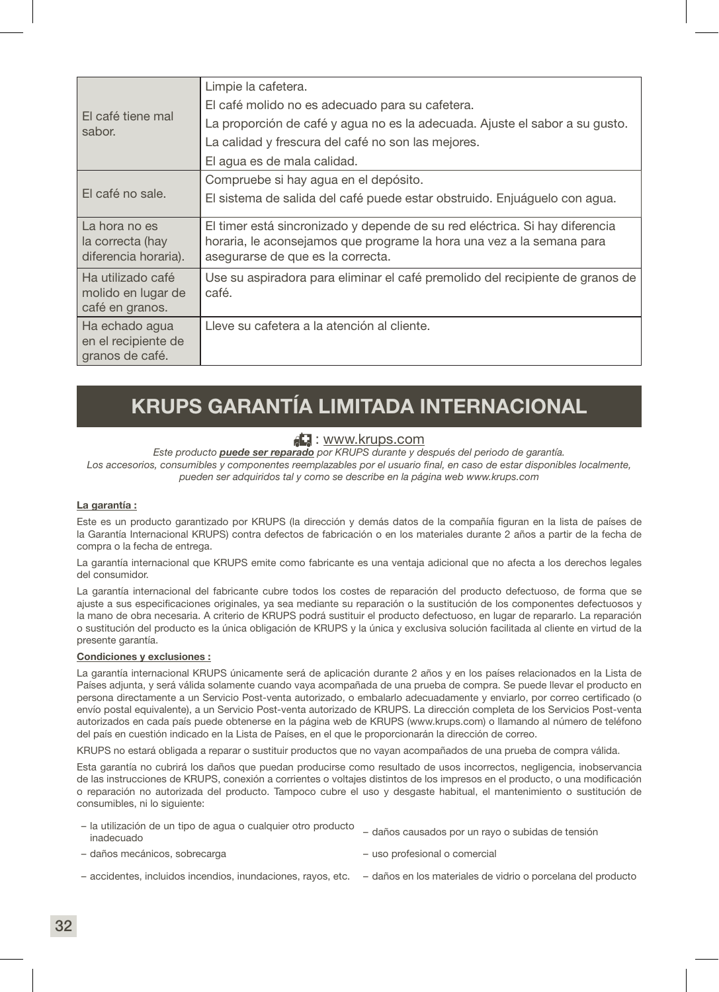| El café tiene mal<br>sabor.                                | Limpie la cafetera.                                                                                                                                                                       |
|------------------------------------------------------------|-------------------------------------------------------------------------------------------------------------------------------------------------------------------------------------------|
|                                                            | El café molido no es adecuado para su cafetera.                                                                                                                                           |
|                                                            | La proporción de café y agua no es la adecuada. Ajuste el sabor a su gusto.                                                                                                               |
|                                                            | La calidad y frescura del café no son las mejores.                                                                                                                                        |
|                                                            | El aqua es de mala calidad.                                                                                                                                                               |
| El café no sale.                                           | Compruebe si hay aqua en el depósito.                                                                                                                                                     |
|                                                            | El sistema de salida del café puede estar obstruido. Enjuáguelo con agua.                                                                                                                 |
| La hora no es<br>la correcta (hay<br>diferencia horaria).  | El timer está sincronizado y depende de su red eléctrica. Si hay diferencia<br>horaria, le aconsejamos que programe la hora una vez a la semana para<br>asegurarse de que es la correcta. |
| Ha utilizado café<br>molido en lugar de<br>café en granos. | Use su aspiradora para eliminar el café premolido del recipiente de granos de<br>café.                                                                                                    |
| Ha echado agua<br>en el recipiente de<br>granos de café.   | Lleve su cafetera a la atención al cliente.                                                                                                                                               |

### KRUPS GARANTÍA LIMITADA INTERNACIONAL

### : www.krups.com

*Este producto puede ser reparado por KRUPS durante y después del periodo de garantía.*

*Los accesorios, consumibles y componentes reemplazables por el usuario final, en caso de estar disponibles localmente, pueden ser adquiridos tal y como se describe en la página web www.krups.com*

### La garantía :

Este es un producto garantizado por KRUPS (la dirección y demás datos de la compañía figuran en la lista de países de la Garantía Internacional KRUPS) contra defectos de fabricación o en los materiales durante 2 años a partir de la fecha de compra o la fecha de entrega.

La garantía internacional que KRUPS emite como fabricante es una ventaja adicional que no afecta a los derechos legales del consumidor.

La garantía internacional del fabricante cubre todos los costes de reparación del producto defectuoso, de forma que se ajuste a sus especificaciones originales, ya sea mediante su reparación o la sustitución de los componentes defectuosos y la mano de obra necesaria. A criterio de KRUPS podrá sustituir el producto defectuoso, en lugar de repararlo. La reparación o sustitución del producto es la única obligación de KRUPS y la única y exclusiva solución facilitada al cliente en virtud de la presente garantía.

### Condiciones y exclusiones :

La garantía internacional KRUPS únicamente será de aplicación durante 2 años y en los países relacionados en la Lista de Países adjunta, y será válida solamente cuando vaya acompañada de una prueba de compra. Se puede llevar el producto en persona directamente a un Servicio Post-venta autorizado, o embalarlo adecuadamente y enviarlo, por correo certificado (o envío postal equivalente), a un Servicio Post-venta autorizado de KRUPS. La dirección completa de los Servicios Post-venta autorizados en cada país puede obtenerse en la página web de KRUPS (www.krups.com) o llamando al número de teléfono del país en cuestión indicado en la Lista de Países, en el que le proporcionarán la dirección de correo.

KRUPS no estará obligada a reparar o sustituir productos que no vayan acompañados de una prueba de compra válida.

Esta garantía no cubrirá los daños que puedan producirse como resultado de usos incorrectos, negligencia, inobservancia de las instrucciones de KRUPS, conexión a corrientes o voltajes distintos de los impresos en el producto, o una modificación o reparación no autorizada del producto. Tampoco cubre el uso y desgaste habitual, el mantenimiento o sustitución de consumibles, ni lo siguiente:

| - la utilización de un tipo de agua o cualquier otro producto<br>inadecuado | - daños causados por un rayo o subidas de tensión            |
|-----------------------------------------------------------------------------|--------------------------------------------------------------|
| - daños mecánicos, sobrecarga                                               | - uso profesional o comercial                                |
| - accidentes, incluidos incendios, inundaciones, ravos, etc.                | - daños en los materiales de vidrio o porcelana del producto |